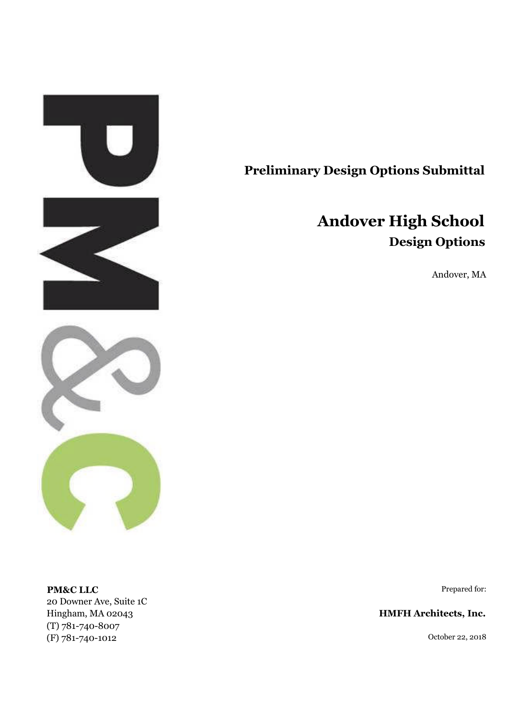

## **Preliminary Design Options Submittal**

# **Andover High School Design Options**

Andover, MA

**PM&C LLC** Prepared for: 20 Downer Ave, Suite 1C Hingham, MA 02043 **HMFH Architects, Inc.** (T) 781-740-8007 (F) 781-740-1012 October 22, 2018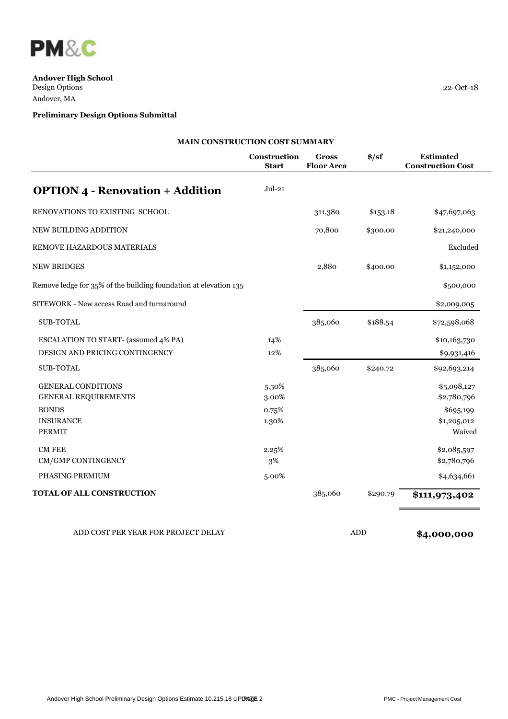

 $\overline{\phantom{a}}$ 

**Andover High School** Design Options 22-Oct-18 Andover, MA

## **Preliminary Design Options Submittal**

|                                                                  | Construction<br><b>Start</b> | <b>Gross</b><br><b>Floor Area</b> | $\frac{1}{2}$ | <b>Estimated</b><br><b>Construction Cost</b> |
|------------------------------------------------------------------|------------------------------|-----------------------------------|---------------|----------------------------------------------|
| <b>OPTION 4 - Renovation + Addition</b>                          | $Jul-21$                     |                                   |               |                                              |
| RENOVATIONS TO EXISTING SCHOOL                                   |                              | 311,380                           | \$153.18      | \$47,697,063                                 |
| NEW BUILDING ADDITION                                            |                              | 70,800                            | \$300.00      | \$21,240,000                                 |
| REMOVE HAZARDOUS MATERIALS                                       |                              |                                   |               | Excluded                                     |
| <b>NEW BRIDGES</b>                                               |                              | 2,880                             | \$400.00      | \$1,152,000                                  |
| Remove ledge for 35% of the building foundation at elevation 135 |                              |                                   |               | \$500,000                                    |
| SITEWORK - New access Road and turnaround                        |                              |                                   |               | \$2,009,005                                  |
| <b>SUB-TOTAL</b>                                                 |                              | 385,060                           | \$188.54      | \$72,598,068                                 |
| ESCALATION TO START- (assumed 4% PA)                             | 14%                          |                                   |               | \$10,163,730                                 |
| DESIGN AND PRICING CONTINGENCY                                   | 12%                          |                                   |               | \$9,931,416                                  |
| <b>SUB-TOTAL</b>                                                 |                              | 385,060                           | \$240.72      | \$92,693,214                                 |
| <b>GENERAL CONDITIONS</b>                                        | 5.50%                        |                                   |               | \$5,098,127                                  |
| GENERAL REQUIREMENTS                                             | 3.00%                        |                                   |               | \$2,780,796                                  |
| <b>BONDS</b>                                                     | 0.75%                        |                                   |               | \$695,199                                    |
| <b>INSURANCE</b>                                                 | 1.30%                        |                                   |               | \$1,205,012                                  |
| <b>PERMIT</b>                                                    |                              |                                   |               | Waived                                       |
| <b>CM FEE</b>                                                    | 2.25%                        |                                   |               | \$2,085,597                                  |
| CM/GMP CONTINGENCY                                               | 3%                           |                                   |               | \$2,780,796                                  |
| PHASING PREMIUM                                                  | 5.00%                        |                                   |               | \$4,634,661                                  |
| <b>TOTAL OF ALL CONSTRUCTION</b>                                 |                              | 385,060                           | \$290.79      | \$111,973,402                                |

ADD COST PER YEAR FOR PROJECT DELAY **ADD** ADD **\$4,000,000**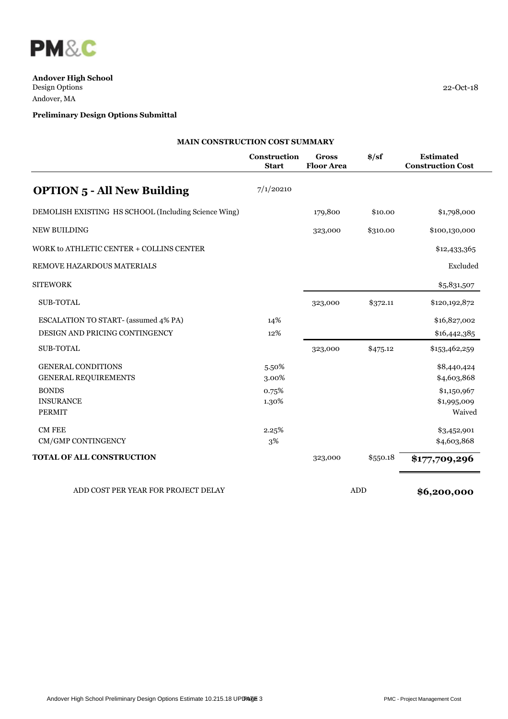

## **Preliminary Design Options Submittal**

| 22-Oct-18 |  |  |
|-----------|--|--|

|                                                      | Construction<br><b>Start</b> | <b>Gross</b><br><b>Floor Area</b> | $\frac{\text{L}}{\text{S}}$ | <b>Estimated</b><br><b>Construction Cost</b> |
|------------------------------------------------------|------------------------------|-----------------------------------|-----------------------------|----------------------------------------------|
|                                                      |                              |                                   |                             |                                              |
| <b>OPTION 5 - All New Building</b>                   | 7/1/20210                    |                                   |                             |                                              |
| DEMOLISH EXISTING HS SCHOOL (Including Science Wing) |                              | 179,800                           | \$10.00                     | \$1,798,000                                  |
| <b>NEW BUILDING</b>                                  |                              | 323,000                           | \$310.00                    | \$100,130,000                                |
| WORK to ATHLETIC CENTER + COLLINS CENTER             |                              |                                   |                             | \$12,433,365                                 |
| REMOVE HAZARDOUS MATERIALS                           |                              |                                   |                             | Excluded                                     |
| <b>SITEWORK</b>                                      |                              |                                   |                             | \$5,831,507                                  |
| <b>SUB-TOTAL</b>                                     |                              | 323,000                           | \$372.11                    | \$120,192,872                                |
| <b>ESCALATION TO START- (assumed 4% PA)</b>          | 14%                          |                                   |                             | \$16,827,002                                 |
| DESIGN AND PRICING CONTINGENCY                       | 12%                          |                                   |                             | \$16,442,385                                 |
| <b>SUB-TOTAL</b>                                     |                              | 323,000                           | \$475.12                    | \$153,462,259                                |
| <b>GENERAL CONDITIONS</b>                            | 5.50%                        |                                   |                             | \$8,440,424                                  |
| <b>GENERAL REQUIREMENTS</b>                          | 3.00%                        |                                   |                             | \$4,603,868                                  |
| <b>BONDS</b>                                         | 0.75%                        |                                   |                             | \$1,150,967                                  |
| <b>INSURANCE</b>                                     | 1.30%                        |                                   |                             | \$1,995,009                                  |
| <b>PERMIT</b>                                        |                              |                                   |                             | Waived                                       |
| <b>CM FEE</b>                                        | 2.25%                        |                                   |                             | \$3,452,901                                  |
| CM/GMP CONTINGENCY                                   | 3%                           |                                   |                             | \$4,603,868                                  |
| TOTAL OF ALL CONSTRUCTION                            |                              | 323,000                           | \$550.18                    | \$177,709,296                                |

ADD COST PER YEAR FOR PROJECT DELAY **ADD** ADD **\$6,200,000**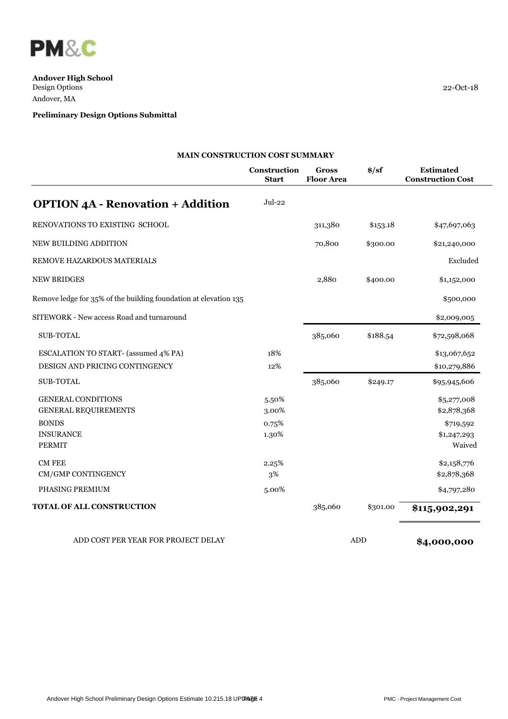

## **Preliminary Design Options Submittal**

|                                                                  | Construction<br><b>Start</b> | <b>Gross</b><br><b>Floor Area</b> | $\frac{1}{2}$ | <b>Estimated</b><br><b>Construction Cost</b> |
|------------------------------------------------------------------|------------------------------|-----------------------------------|---------------|----------------------------------------------|
| <b>OPTION 4A - Renovation + Addition</b>                         | $Jul-22$                     |                                   |               |                                              |
| RENOVATIONS TO EXISTING SCHOOL                                   |                              | 311,380                           | \$153.18      | \$47,697,063                                 |
| NEW BUILDING ADDITION                                            |                              | 70,800                            | \$300.00      | \$21,240,000                                 |
| REMOVE HAZARDOUS MATERIALS                                       |                              |                                   |               | Excluded                                     |
| <b>NEW BRIDGES</b>                                               |                              | 2,880                             | \$400.00      | \$1,152,000                                  |
| Remove ledge for 35% of the building foundation at elevation 135 |                              |                                   |               | \$500,000                                    |
| SITEWORK - New access Road and turnaround                        |                              |                                   |               | \$2,009,005                                  |
| <b>SUB-TOTAL</b>                                                 |                              | 385,060                           | \$188.54      | \$72,598,068                                 |
| <b>ESCALATION TO START- (assumed 4% PA)</b>                      | 18%                          |                                   |               | \$13,067,652                                 |
| DESIGN AND PRICING CONTINGENCY                                   | 12%                          |                                   |               | \$10,279,886                                 |
| <b>SUB-TOTAL</b>                                                 |                              | 385,060                           | \$249.17      | \$95,945,606                                 |
| <b>GENERAL CONDITIONS</b>                                        | 5.50%                        |                                   |               | \$5,277,008                                  |
| <b>GENERAL REQUIREMENTS</b>                                      | 3.00%                        |                                   |               | \$2,878,368                                  |
| <b>BONDS</b>                                                     | 0.75%                        |                                   |               | \$719,592                                    |
| <b>INSURANCE</b>                                                 | 1.30%                        |                                   |               | \$1,247,293                                  |
| <b>PERMIT</b>                                                    |                              |                                   |               | Waived                                       |
| <b>CM FEE</b>                                                    | 2.25%                        |                                   |               | \$2,158,776                                  |
| CM/GMP CONTINGENCY                                               | 3%                           |                                   |               | \$2,878,368                                  |
| PHASING PREMIUM                                                  | 5.00%                        |                                   |               | \$4,797,280                                  |
| <b>TOTAL OF ALL CONSTRUCTION</b>                                 |                              | 385,060                           | \$301.00      | \$115,902,291                                |

ADD COST PER YEAR FOR PROJECT DELAY **ADD** ADD **\$4,000,000**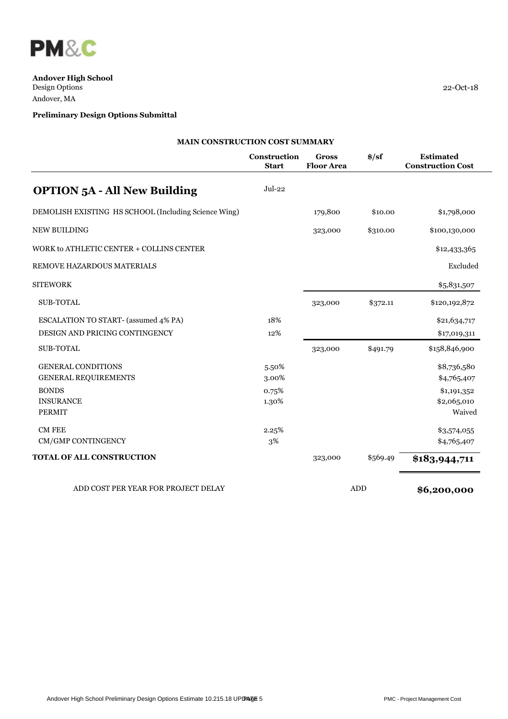

| $22 - Oct-18$ |  |  |
|---------------|--|--|
|               |  |  |

|                                                      | MAIN CONSTRUCTION COST SUMMARY |                                   |               |                                              |  |  |  |
|------------------------------------------------------|--------------------------------|-----------------------------------|---------------|----------------------------------------------|--|--|--|
|                                                      | Construction<br><b>Start</b>   | <b>Gross</b><br><b>Floor Area</b> | $\frac{1}{2}$ | <b>Estimated</b><br><b>Construction Cost</b> |  |  |  |
| <b>OPTION 5A - All New Building</b>                  | $Jul-22$                       |                                   |               |                                              |  |  |  |
| DEMOLISH EXISTING HS SCHOOL (Including Science Wing) |                                | 179,800                           | \$10.00       | \$1,798,000                                  |  |  |  |
| NEW BUILDING                                         |                                | 323,000                           | \$310.00      | \$100,130,000                                |  |  |  |
| WORK to ATHLETIC CENTER + COLLINS CENTER             |                                |                                   |               | \$12,433,365                                 |  |  |  |
| REMOVE HAZARDOUS MATERIALS                           |                                |                                   |               | Excluded                                     |  |  |  |
| <b>SITEWORK</b>                                      |                                |                                   |               | \$5,831,507                                  |  |  |  |
| <b>SUB-TOTAL</b>                                     |                                | 323,000                           | \$372.11      | \$120,192,872                                |  |  |  |
| ESCALATION TO START- (assumed 4% PA)                 | 18%                            |                                   |               | \$21,634,717                                 |  |  |  |
| DESIGN AND PRICING CONTINGENCY                       | 12%                            |                                   |               | \$17,019,311                                 |  |  |  |
| SUB-TOTAL                                            |                                | 323,000                           | \$491.79      | \$158,846,900                                |  |  |  |
| <b>GENERAL CONDITIONS</b>                            | 5.50%                          |                                   |               | \$8,736,580                                  |  |  |  |
| <b>GENERAL REQUIREMENTS</b>                          | 3.00%                          |                                   |               | \$4,765,407                                  |  |  |  |
| <b>BONDS</b>                                         | 0.75%                          |                                   |               | \$1,191,352                                  |  |  |  |
| <b>INSURANCE</b>                                     | 1.30%                          |                                   |               | \$2,065,010                                  |  |  |  |
| <b>PERMIT</b>                                        |                                |                                   |               | Waived                                       |  |  |  |
| <b>CM FEE</b>                                        | 2.25%                          |                                   |               | \$3,574,055                                  |  |  |  |
| CM/GMP CONTINGENCY                                   | $3\%$                          |                                   |               | \$4,765,407                                  |  |  |  |
| <b>TOTAL OF ALL CONSTRUCTION</b>                     |                                | 323,000                           | \$569.49      | \$183,944,711                                |  |  |  |
| ADD COST PER YEAR FOR PROJECT DELAY                  |                                |                                   | ADD           | \$6,200,000                                  |  |  |  |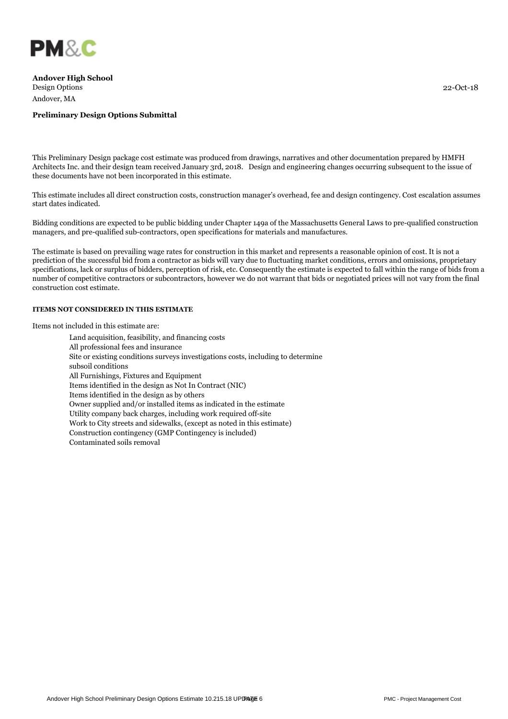

#### **Preliminary Design Options Submittal**

This Preliminary Design package cost estimate was produced from drawings, narratives and other documentation prepared by HMFH Architects Inc. and their design team received January 3rd, 2018. Design and engineering changes occurring subsequent to the issue of these documents have not been incorporated in this estimate.

This estimate includes all direct construction costs, construction manager's overhead, fee and design contingency. Cost escalation assumes start dates indicated.

Bidding conditions are expected to be public bidding under Chapter 149a of the Massachusetts General Laws to pre-qualified construction managers, and pre-qualified sub-contractors, open specifications for materials and manufactures.

The estimate is based on prevailing wage rates for construction in this market and represents a reasonable opinion of cost. It is not a prediction of the successful bid from a contractor as bids will vary due to fluctuating market conditions, errors and omissions, proprietary specifications, lack or surplus of bidders, perception of risk, etc. Consequently the estimate is expected to fall within the range of bids from a number of competitive contractors or subcontractors, however we do not warrant that bids or negotiated prices will not vary from the final construction cost estimate.

#### **ITEMS NOT CONSIDERED IN THIS ESTIMATE**

Items not included in this estimate are:

Land acquisition, feasibility, and financing costs All professional fees and insurance Site or existing conditions surveys investigations costs, including to determine subsoil conditions All Furnishings, Fixtures and Equipment Items identified in the design as Not In Contract (NIC) Items identified in the design as by others Owner supplied and/or installed items as indicated in the estimate Utility company back charges, including work required off-site Work to City streets and sidewalks, (except as noted in this estimate) Construction contingency (GMP Contingency is included) Contaminated soils removal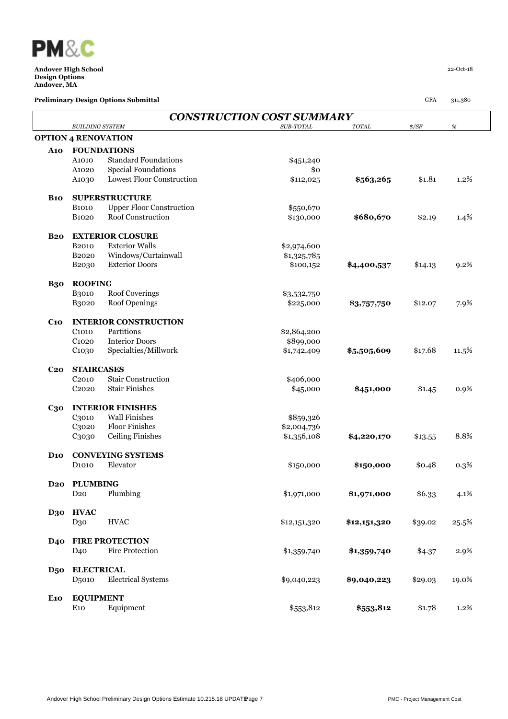

|                   |                            |                                 | <b>CONSTRUCTION COST SUMMARY</b> |              |                |         |
|-------------------|----------------------------|---------------------------------|----------------------------------|--------------|----------------|---------|
|                   | <b>BUILDING SYSTEM</b>     |                                 | SUB-TOTAL                        | TOTAL        | $\frac{s}{SF}$ | $\%$    |
|                   | <b>OPTION 4 RENOVATION</b> |                                 |                                  |              |                |         |
| <b>A10</b>        |                            | <b>FOUNDATIONS</b>              |                                  |              |                |         |
|                   | A <sub>1010</sub>          | <b>Standard Foundations</b>     | \$451,240                        |              |                |         |
|                   | A1020                      | <b>Special Foundations</b>      | \$0                              |              |                |         |
|                   | A1030                      | Lowest Floor Construction       | \$112,025                        | \$563,265    | \$1.81         | 1.2%    |
| <b>B10</b>        |                            | <b>SUPERSTRUCTURE</b>           |                                  |              |                |         |
|                   | <b>B1010</b>               | <b>Upper Floor Construction</b> | \$550,670                        |              |                |         |
|                   | <b>B1020</b>               | Roof Construction               | \$130,000                        | \$680,670    | \$2.19         | 1.4%    |
| <b>B20</b>        |                            | <b>EXTERIOR CLOSURE</b>         |                                  |              |                |         |
|                   | <b>B2010</b>               | <b>Exterior Walls</b>           | \$2,974,600                      |              |                |         |
|                   | B <sub>2020</sub>          | Windows/Curtainwall             | \$1,325,785                      |              |                |         |
|                   | B <sub>2030</sub>          | <b>Exterior Doors</b>           | \$100,152                        | \$4,400,537  | \$14.13        | 9.2%    |
| <b>B30</b>        | <b>ROOFING</b>             |                                 |                                  |              |                |         |
|                   | <b>B3010</b>               | <b>Roof Coverings</b>           | \$3,532,750                      |              |                |         |
|                   | B3020                      | Roof Openings                   | \$225,000                        | \$3,757,750  | \$12.07        | 7.9%    |
| C <sub>10</sub>   |                            | <b>INTERIOR CONSTRUCTION</b>    |                                  |              |                |         |
|                   | C <sub>1010</sub>          | Partitions                      | \$2,864,200                      |              |                |         |
|                   | C <sub>1020</sub>          | <b>Interior Doors</b>           | \$899,000                        |              |                |         |
|                   | C1030                      | Specialties/Millwork            | \$1,742,409                      | \$5,505,609  | \$17.68        | 11.5%   |
| <b>C20</b>        | <b>STAIRCASES</b>          |                                 |                                  |              |                |         |
|                   | C <sub>2010</sub>          | <b>Stair Construction</b>       | \$406,000                        |              |                |         |
|                   | C <sub>2</sub> 020         | <b>Stair Finishes</b>           | \$45,000                         | \$451,000    | \$1.45         | 0.9%    |
| $C_{3}$ o         |                            | <b>INTERIOR FINISHES</b>        |                                  |              |                |         |
|                   | C3010                      | <b>Wall Finishes</b>            | \$859,326                        |              |                |         |
|                   | C3020                      | <b>Floor Finishes</b>           | \$2,004,736                      |              |                |         |
|                   | C <sub>3</sub> 030         | <b>Ceiling Finishes</b>         | \$1,356,108                      | \$4,220,170  | \$13.55        | 8.8%    |
| $\mathbf{D}_{10}$ |                            | <b>CONVEYING SYSTEMS</b>        |                                  |              |                |         |
|                   | D <sub>1010</sub>          | Elevator                        | \$150,000                        | \$150,000    | \$0.48         | 0.3%    |
| D <sub>20</sub>   | <b>PLUMBING</b>            |                                 |                                  |              |                |         |
|                   | D <sub>20</sub>            | Plumbing                        | \$1,971,000                      | \$1,971,000  | \$6.33         | 4.1%    |
| D30               | <b>HVAC</b>                |                                 |                                  |              |                |         |
|                   | D30                        | <b>HVAC</b>                     | \$12,151,320                     | \$12,151,320 | \$39.02        | 25.5%   |
| <b>D40</b>        |                            | <b>FIRE PROTECTION</b>          |                                  |              |                |         |
|                   | D <sub>40</sub>            | <b>Fire Protection</b>          | \$1,359,740                      | \$1,359,740  | \$4.37         | 2.9%    |
| <b>D50</b>        | <b>ELECTRICAL</b>          |                                 |                                  |              |                |         |
|                   | D <sub>5010</sub>          | <b>Electrical Systems</b>       | \$9,040,223                      | \$9,040,223  | \$29.03        | 19.0%   |
| <b>E10</b>        | <b>EQUIPMENT</b>           |                                 |                                  |              |                |         |
|                   | E10                        | Equipment                       | \$553,812                        | \$553,812    | \$1.78         | $1.2\%$ |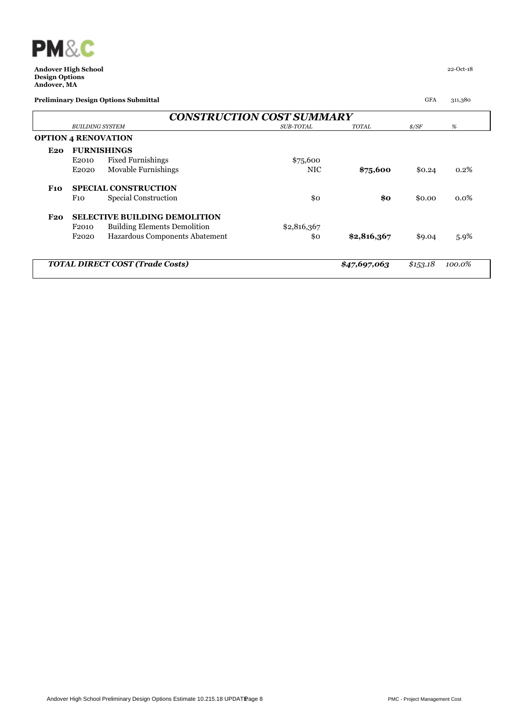

|            |                        | <b>CONSTRUCTION COST SUMMARY</b>       |                  |              |                |         |
|------------|------------------------|----------------------------------------|------------------|--------------|----------------|---------|
|            | <b>BUILDING SYSTEM</b> |                                        | <b>SUB-TOTAL</b> | <b>TOTAL</b> | $\frac{s}{SF}$ | %       |
|            |                        | <b>OPTION 4 RENOVATION</b>             |                  |              |                |         |
| E20        |                        | <b>FURNISHINGS</b>                     |                  |              |                |         |
|            | E2010                  | <b>Fixed Furnishings</b>               | \$75,600         |              |                |         |
|            | E2020                  | Movable Furnishings                    | <b>NIC</b>       | \$75,600     | \$0.24         | 0.2%    |
| <b>F10</b> |                        | <b>SPECIAL CONSTRUCTION</b>            |                  |              |                |         |
|            | F10                    | Special Construction                   | \$0              | \$0          | \$0.00         | $0.0\%$ |
| F20        |                        | <b>SELECTIVE BUILDING DEMOLITION</b>   |                  |              |                |         |
|            | F <sub>2010</sub>      | <b>Building Elements Demolition</b>    | \$2,816,367      |              |                |         |
|            | F <sub>2020</sub>      | Hazardous Components Abatement         | \$0              | \$2,816,367  | \$9.04         | $5.9\%$ |
|            |                        | <b>TOTAL DIRECT COST (Trade Costs)</b> |                  | \$47,697,063 | \$1,5,3.18     | 100.0%  |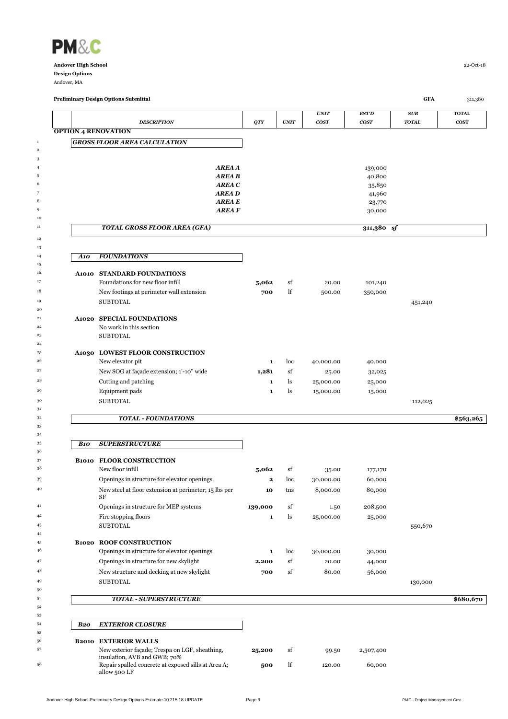

 $\overline{2}$ 

 

 

 

**OPTION 4 RENOVATION**

*A10 FOUNDATIONS*

**A1010 STANDARD FOUNDATIONS**

**Preliminary Design Options Submittal GFA** 311,380

*UNIT EST'D SUB* **TOTAL** *DESCRIPTION*  $QTY$  *QTY UNIT COST COST TOTAL* **COST AREA A** 139,000 **AREA B** 40,800  $AEEAC$  35,850 *AREA D* 41,960  $AREA E$  23,770 **AREA F** 30,000 *TOTAL GROSS FLOOR AREA (GFA)* **311,380** *sf* 33000 Foundations for new floor infill **5,062** sf 20.00 101,240 33000 New footings at perimeter wall extension **700** lf 500.00 350,000 <sup>19</sup> SUBTOTAL 30 SUBTOTAL 451,240

### <sup>21</sup> **A1020 SPECIAL FOUNDATIONS** No work in this section SUBTOTAL

*GROSS FLOOR AREA CALCULATION*

| 25 | A1030 LOWEST FLOOR CONSTRUCTION          |       |      |           |        |
|----|------------------------------------------|-------|------|-----------|--------|
| 26 | New elevator pit.                        |       | Toc. | 40,000,00 | 40,000 |
|    | New SOG at facade extension; 1'-10" wide | 1.281 | st   | 25.00     | 32,025 |
| 28 | Cutting and patching                     |       |      | 25,000.00 | 25,000 |

<sup>29</sup> 29 **Equipment pads 1** ls 15,000.00 15,000

 $\rm SUBTOTAL$  and  $\rm SUBTOTAL$ 

#### *TOTAL - FOUNDATIONS* **\$563,265**

| 34 |              |                                                             |              |     |           |         |         |           |
|----|--------------|-------------------------------------------------------------|--------------|-----|-----------|---------|---------|-----------|
| 35 | <b>B10</b>   | <b>SUPERSTRUCTURE</b>                                       |              |     |           |         |         |           |
| 36 |              |                                                             |              |     |           |         |         |           |
| 37 | <b>B1010</b> | <b>FLOOR CONSTRUCTION</b>                                   |              |     |           |         |         |           |
| 38 |              | New floor infill                                            | 5,062        | sf  | 35.00     | 177,170 |         |           |
| 39 |              | Openings in structure for elevator openings                 | $\mathbf{2}$ | loc | 30,000.00 | 60,000  |         |           |
| 40 |              | New steel at floor extension at perimeter; 15 lbs per<br>SF | 10           | tns | 8,000.00  | 80,000  |         |           |
| 41 |              | Openings in structure for MEP systems                       | 139,000      | sf  | 1.50      | 208,500 |         |           |
| 42 |              | Fire stopping floors                                        | 1            | ls  | 25,000.00 | 25,000  |         |           |
| 43 |              | <b>SUBTOTAL</b>                                             |              |     |           |         | 550,670 |           |
| 44 |              |                                                             |              |     |           |         |         |           |
| 45 | <b>B1020</b> | <b>ROOF CONSTRUCTION</b>                                    |              |     |           |         |         |           |
| 46 |              | Openings in structure for elevator openings                 | 1            | loc | 30,000.00 | 30,000  |         |           |
| 47 |              | Openings in structure for new skylight                      | 2,200        | sf  | 20.00     | 44,000  |         |           |
| 48 |              | New structure and decking at new skylight                   | 700          | sf  | 80.00     | 56,000  |         |           |
| 49 |              | <b>SUBTOTAL</b>                                             |              |     |           |         | 130,000 |           |
| 50 |              |                                                             |              |     |           |         |         |           |
|    |              | <b>TOTAL - SUPERSTRUCTURE</b>                               |              |     |           |         |         | \$680,670 |

## *B20 EXTERIOR CLOSURE* 56 **B2010 EXTERIOR WALLS**<br>57 New exterior facade: Tr çade; Trespa on LGF, sheathing, and GWB;  $70\%$ **25,200** sf 99.50 2,507,400

lf 120.00 60,000

| 57 | New exterior facade; Trespa on LGF, sheathing,      |
|----|-----------------------------------------------------|
|    | insulation, AVB and GWB; 70%                        |
| 58 | Repair spalled concrete at exposed sills at Area A; |

allow 500 LF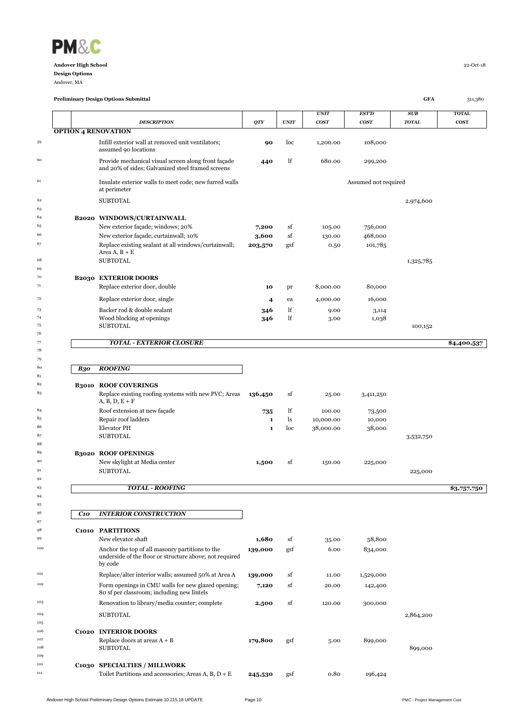

Andover, MA

|            |                                                                                                                       |                |               | <b>UNIT</b> | EST'D                | SUB          | <b>TOTAL</b> |
|------------|-----------------------------------------------------------------------------------------------------------------------|----------------|---------------|-------------|----------------------|--------------|--------------|
|            | <b>DESCRIPTION</b>                                                                                                    | QTY            | <b>UNIT</b>   | <b>COST</b> | <b>COST</b>          | <b>TOTAL</b> | <b>COST</b>  |
|            | <b>OPTION 4 RENOVATION</b>                                                                                            |                |               |             |                      |              |              |
|            | Infill exterior wall at removed unit ventilators;<br>assumed 90 locations                                             | 90             | loc           | 1,200.00    | 108,000              |              |              |
|            | Provide mechanical visual screen along front façade<br>and 20% of sides; Galvanized steel framed screens              | 440            | lf            | 680.00      | 299,200              |              |              |
|            | Insulate exterior walls to meet code; new furred walls<br>at perimeter                                                |                |               |             | Assumed not required |              |              |
|            | <b>SUBTOTAL</b>                                                                                                       |                |               |             |                      | 2,974,600    |              |
|            |                                                                                                                       |                |               |             |                      |              |              |
|            | B2020 WINDOWS/CURTAINWALL                                                                                             |                |               |             |                      |              |              |
|            | New exterior façade; windows; 20%                                                                                     | 7,200          | sf            | 105.00      | 756,000              |              |              |
|            | New exterior façade; curtainwall; 10%                                                                                 | 3,600          | sf            | 130.00      | 468,000              |              |              |
|            | Replace existing sealant at all windows/curtainwall;<br>Area $A, B + E$                                               | 203,570        | gsf           | 0.50        | 101,785              |              |              |
|            | <b>SUBTOTAL</b>                                                                                                       |                |               |             |                      | 1,325,785    |              |
|            |                                                                                                                       |                |               |             |                      |              |              |
|            | <b>B2030 EXTERIOR DOORS</b>                                                                                           |                |               |             |                      |              |              |
|            | Replace exterior door, double                                                                                         | 10             | pr            | 8,000.00    | 80,000               |              |              |
|            | Replace exterior door, single                                                                                         | $\overline{4}$ | ea            | 4,000.00    | 16,000               |              |              |
|            | Backer rod & double sealant                                                                                           | 346            | lf            | 9.00        | 3,114                |              |              |
|            | Wood blocking at openings                                                                                             | 346            | lf            | 3.00        | 1,038                |              |              |
|            | <b>SUBTOTAL</b>                                                                                                       |                |               |             |                      | 100,152      |              |
|            | <b>TOTAL - EXTERIOR CLOSURE</b>                                                                                       |                |               |             |                      |              | \$4,400,537  |
|            |                                                                                                                       |                |               |             |                      |              |              |
| <b>B30</b> | <b>ROOFING</b>                                                                                                        |                |               |             |                      |              |              |
|            | <b>B3010 ROOF COVERINGS</b>                                                                                           |                |               |             |                      |              |              |
|            | Replace existing roofing systems with new PVC; Areas<br>$A, B, D, E + F$                                              | 136,450        | sf            | 25.00       | 3,411,250            |              |              |
|            | Roof extension at new façade                                                                                          | 735            | lf            | 100.00      | 73,500               |              |              |
|            | Repair roof ladders                                                                                                   | 1              | <sup>1s</sup> | 10,000.00   | 10,000               |              |              |
|            | <b>Elevator PH</b>                                                                                                    | $\mathbf{1}$   | loc           | 38,000.00   | 38,000               |              |              |
|            | <b>SUBTOTAL</b>                                                                                                       |                |               |             |                      | 3,532,750    |              |
|            |                                                                                                                       |                |               |             |                      |              |              |
|            | <b>B3020 ROOF OPENINGS</b>                                                                                            |                |               |             |                      |              |              |
|            | New skylight at Media center<br><b>SUBTOTAL</b>                                                                       | 1,500          | sf            | 150.00      | 225,000              |              |              |
|            |                                                                                                                       |                |               |             |                      | 225,000      |              |
|            | <b>TOTAL - ROOFING</b>                                                                                                |                |               |             |                      |              | \$3,757,750  |
|            |                                                                                                                       |                |               |             |                      |              |              |
| C10        | <b>INTERIOR CONSTRUCTION</b>                                                                                          |                |               |             |                      |              |              |
|            |                                                                                                                       |                |               |             |                      |              |              |
|            | C1010 PARTITIONS                                                                                                      |                |               |             |                      |              |              |
|            | New elevator shaft                                                                                                    | 1,680          | sf            | 35.00       | 58,800               |              |              |
|            | Anchor the top of all masonry partitions to the<br>underside of the floor or structure above; not required<br>by code | 139,000        | gsf           | 6.00        | 834,000              |              |              |
|            | Replace/alter interior walls; assumed 50% at Area A                                                                   | 139,000        | sf            | 11.00       | 1,529,000            |              |              |
|            | Form openings in CMU walls for new glazed opening;                                                                    |                | sf            | 20.00       |                      |              |              |
|            |                                                                                                                       | 7,120          |               |             | 142,400              |              |              |

<sup>106</sup> **C1020 INTERIOR DOORS**<br>Replace doors at areas

**C1030 SPECIALTIES / MILLWORK**

80 sf per classroom; including new lintels

09250 Renovation to library/media counter; complete **2,500** sf 120.00 300,000

107 Replace doors at areas  $A + B$  **179,800** gsf 5.00 899,000 sUBTOTAL

111 111 1016,424 Toilet Partitions and accessories; Areas A, B, D + E **245,530** gsf 0.80 196,424

SUBTOTAL 2,864,200

SUBTOTAL 899,000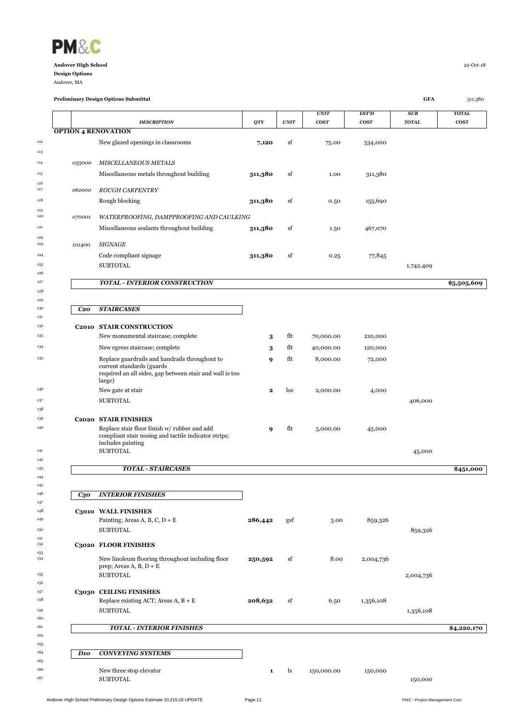

Andover, MA

|                 |                                                                               |             |             | <b>UNIT</b> | <b>EST'D</b> | <b>SUB</b>   | <b>TOTAL</b> |
|-----------------|-------------------------------------------------------------------------------|-------------|-------------|-------------|--------------|--------------|--------------|
|                 | <b>DESCRIPTION</b>                                                            | QTY         | <b>UNIT</b> | <b>COST</b> | <b>COST</b>  | <b>TOTAL</b> | <b>COST</b>  |
|                 | <b>OPTION 4 RENOVATION</b>                                                    |             |             |             |              |              |              |
|                 | New glazed openings in classrooms                                             | 7,120       | sf          | 75.00       | 534,000      |              |              |
| 055000          | <b>MISCELLANEOUS METALS</b>                                                   |             |             |             |              |              |              |
|                 | Miscellaneous metals throughout building                                      | 311,380     | sf          | 1.00        | 311,380      |              |              |
|                 |                                                                               |             |             |             |              |              |              |
| 061000          | <b>ROUGH CARPENTRY</b>                                                        |             |             |             |              |              |              |
|                 | Rough blocking                                                                | 311,380     | sf          | 0.50        | 155,690      |              |              |
| 070001          | WATERPROOFING, DAMPPROOFING AND CAULKING                                      |             |             |             |              |              |              |
|                 | Miscellaneous sealants throughout building                                    | 311,380     | sf          | 1.50        | 467,070      |              |              |
| 101400          | <b>SIGNAGE</b>                                                                |             |             |             |              |              |              |
|                 | Code compliant signage                                                        | 311,380     | sf          | 0.25        | 77,845       |              |              |
|                 | <b>SUBTOTAL</b>                                                               |             |             |             |              | 1,742,409    |              |
|                 |                                                                               |             |             |             |              |              |              |
|                 | <b>TOTAL - INTERIOR CONSTRUCTION</b>                                          |             |             |             |              |              | \$5,505,609  |
|                 |                                                                               |             |             |             |              |              |              |
| C <sub>20</sub> | <b>STAIRCASES</b>                                                             |             |             |             |              |              |              |
|                 |                                                                               |             |             |             |              |              |              |
|                 | C2010 STAIR CONSTRUCTION<br>New monumental staircase; complete                | 3           | flt         | 70,000.00   | 210,000      |              |              |
|                 | New egress staircase; complete                                                | 3           | flt         | 40,000.00   | 120,000      |              |              |
|                 | Replace guardrails and handrails throughout to                                | 9           | flt         | 8,000.00    | 72,000       |              |              |
|                 | current standards (guards)                                                    |             |             |             |              |              |              |
|                 | required an all sides, gap between stair and wall is too<br>large)            |             |             |             |              |              |              |
|                 | New gate at stair                                                             | $\mathbf 2$ | loc         | 2,000.00    | 4,000        |              |              |
|                 | <b>SUBTOTAL</b>                                                               |             |             |             |              | 406,000      |              |
|                 |                                                                               |             |             |             |              |              |              |
|                 | <b>C2020 STAIR FINISHES</b><br>Replace stair floor finish w/ rubber and add   | 9           | flt         | 5,000.00    | 45,000       |              |              |
|                 | compliant stair nosing and tactile indicator strips;                          |             |             |             |              |              |              |
|                 | includes painting<br><b>SUBTOTAL</b>                                          |             |             |             |              | 45,000       |              |
|                 |                                                                               |             |             |             |              |              |              |
|                 | <b>TOTAL - STAIRCASES</b>                                                     |             |             |             |              |              | \$451,000    |
|                 |                                                                               |             |             |             |              |              |              |
| $C_{3}o$        | <b>INTERIOR FINISHES</b>                                                      |             |             |             |              |              |              |
|                 | C3010 WALL FINISHES                                                           |             |             |             |              |              |              |
|                 | Painting; Areas A, B, C, $D + E$                                              | 286,442     | gsf         | 3.00        | 859,326      |              |              |
|                 | <b>SUBTOTAL</b>                                                               |             |             |             |              | 859,326      |              |
|                 | C3020 FLOOR FINISHES                                                          |             |             |             |              |              |              |
|                 |                                                                               |             |             |             |              |              |              |
|                 | New linoleum flooring throughout including floor<br>prep; Areas A, B, $D + E$ | 250,592     | sf          | 8.00        | 2,004,736    |              |              |
|                 | <b>SUBTOTAL</b>                                                               |             |             |             |              | 2,004,736    |              |
|                 | C3030 CEILING FINISHES                                                        |             |             |             |              |              |              |
|                 | Replace existing ACT; Areas $A, B + E$                                        | 208,632     | sf          | 6.50        | 1,356,108    |              |              |
|                 | <b>SUBTOTAL</b>                                                               |             |             |             |              | 1,356,108    |              |
|                 |                                                                               |             |             |             |              |              | \$4,220,170  |
|                 |                                                                               |             |             |             |              |              |              |
|                 | <b>TOTAL - INTERIOR FINISHES</b>                                              |             |             |             |              |              |              |
|                 |                                                                               |             |             |             |              |              |              |
| D <sub>10</sub> | <b>CONVEYING SYSTEMS</b>                                                      |             |             |             |              |              |              |
|                 | New three stop elevator                                                       | 1           | ls          | 150,000.00  | 150,000      |              |              |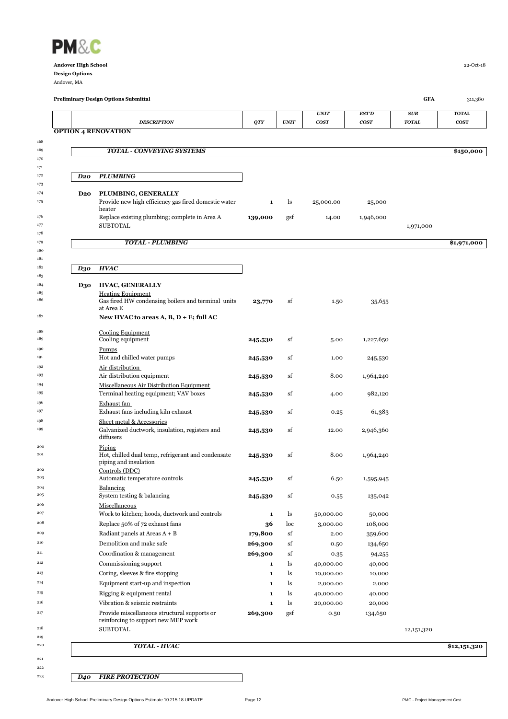

Andover, MA

 

 

|                 | <b>Preliminary Design Options Submittal</b>                                                 |                    |             |                   |                  | GFA          | 311,380      |
|-----------------|---------------------------------------------------------------------------------------------|--------------------|-------------|-------------------|------------------|--------------|--------------|
|                 |                                                                                             |                    |             | <b>UNIT</b>       | <b>EST'D</b>     | SUB          | <b>TOTAL</b> |
|                 | <b>DESCRIPTION</b><br><b>OPTION 4 RENOVATION</b>                                            | QTY                | <b>UNIT</b> | cos <sub>T</sub>  | cos <sub>T</sub> | <b>TOTAL</b> | <b>COST</b>  |
|                 |                                                                                             |                    |             |                   |                  |              |              |
|                 | <b>TOTAL - CONVEYING SYSTEMS</b>                                                            |                    |             |                   |                  |              | \$150,000    |
|                 |                                                                                             |                    |             |                   |                  |              |              |
| D20             | <b>PLUMBING</b>                                                                             |                    |             |                   |                  |              |              |
|                 |                                                                                             |                    |             |                   |                  |              |              |
| D <sub>20</sub> | PLUMBING, GENERALLY<br>Provide new high efficiency gas fired domestic water                 | 1                  | ls.         | 25,000.00         | 25,000           |              |              |
|                 | heater                                                                                      |                    |             |                   |                  |              |              |
|                 | Replace existing plumbing; complete in Area A<br><b>SUBTOTAL</b>                            | 139,000            | gsf         | 14.00             | 1,946,000        |              |              |
|                 |                                                                                             |                    |             |                   |                  | 1,971,000    |              |
|                 | <b>TOTAL - PLUMBING</b>                                                                     |                    |             |                   |                  |              | \$1,971,000  |
|                 |                                                                                             |                    |             |                   |                  |              |              |
| D30             | <b>HVAC</b>                                                                                 |                    |             |                   |                  |              |              |
|                 |                                                                                             |                    |             |                   |                  |              |              |
| D30             | <b>HVAC, GENERALLY</b>                                                                      |                    |             |                   |                  |              |              |
|                 | <b>Heating Equipment</b><br>Gas fired HW condensing boilers and terminal units<br>at Area E | 23,770             | sf          | 1.50              | 35,655           |              |              |
|                 | New HVAC to areas A, B, D + E; full AC                                                      |                    |             |                   |                  |              |              |
|                 | Cooling Equipment                                                                           |                    |             |                   |                  |              |              |
|                 | Cooling equipment                                                                           | 245,530            | sf          | 5.00              | 1,227,650        |              |              |
|                 | <b>Pumps</b>                                                                                |                    |             |                   |                  |              |              |
|                 | Hot and chilled water pumps<br>Air distribution                                             | 245,530            | sf          | 1.00              | 245,530          |              |              |
|                 | Air distribution equipment                                                                  | 245,530            | sf          | 8.00              | 1,964,240        |              |              |
|                 | Miscellaneous Air Distribution Equipment                                                    |                    |             |                   |                  |              |              |
|                 | Terminal heating equipment; VAV boxes                                                       | 245,530            | sf          | 4.00              | 982,120          |              |              |
|                 | Exhaust fan<br>Exhaust fans including kiln exhaust                                          | 245,530            | sf          | 0.25              | 61,383           |              |              |
|                 | Sheet metal & Accessories                                                                   |                    |             |                   |                  |              |              |
|                 | Galvanized ductwork, insulation, registers and<br>diffusers                                 | 245,530            | sf          | 12.00             | 2,946,360        |              |              |
|                 | Piping                                                                                      |                    |             |                   |                  |              |              |
|                 | Hot, chilled dual temp, refrigerant and condensate<br>piping and insulation                 | 245,530            | sf          | 8.00              | 1,964,240        |              |              |
|                 | Controls (DDC)                                                                              |                    |             |                   |                  |              |              |
|                 | Automatic temperature controls                                                              | 245,530            | sf          | 6.50              | 1,595,945        |              |              |
|                 | <b>Balancing</b><br>System testing & balancing                                              | 245,530            | sf          | 0.55              | 135,042          |              |              |
|                 | Miscellaneous                                                                               |                    |             |                   |                  |              |              |
|                 | Work to kitchen; hoods, ductwork and controls                                               | 1                  | ls          | 50,000.00         | 50,000           |              |              |
|                 | Replace 50% of 72 exhaust fans                                                              | 36                 | loc         | 3,000.00          | 108,000          |              |              |
|                 | Radiant panels at Areas $A + B$                                                             | 179,800            | sf          | 2.00              | 359,600          |              |              |
|                 | Demolition and make safe<br>Coordination & management                                       | 269,300<br>269,300 | sf<br>sf    | 0.50              | 134,650          |              |              |
|                 | Commissioning support                                                                       | 1                  | ls          | 0.35<br>40,000.00 | 94,255<br>40,000 |              |              |
|                 | Coring, sleeves & fire stopping                                                             | $\mathbf{1}$       | ls          | 10,000.00         | 10,000           |              |              |
|                 | Equipment start-up and inspection                                                           | 1                  | ls          | 2,000.00          | 2,000            |              |              |
|                 | Rigging & equipment rental                                                                  | 1                  | ls          | 40,000.00         | 40,000           |              |              |
|                 | Vibration & seismic restraints                                                              | $\mathbf 1$        | ls          | 20,000.00         | 20,000           |              |              |
|                 | Provide miscellaneous structural supports or                                                | 269,300            | gsf         | 0.50              | 134,650          |              |              |
|                 | reinforcing to support new MEP work<br><b>SUBTOTAL</b>                                      |                    |             |                   |                  | 12,151,320   |              |
|                 |                                                                                             |                    |             |                   |                  |              |              |
|                 | TOTAL - HVAC                                                                                |                    |             |                   |                  |              | \$12,151,320 |

## 

*D40 FIRE PROTECTION*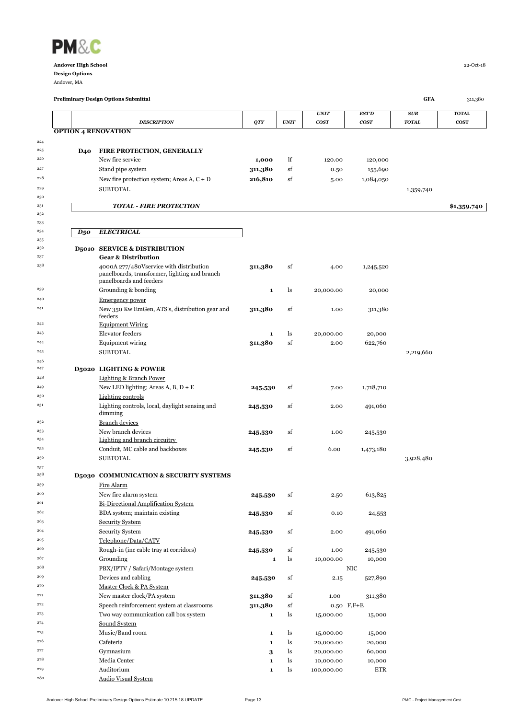

Andover, MA

|            |                            |                                                                          |                         |             | <b>UNIT</b><br>cos <sub>T</sub> | EST'D<br>cos <sub>T</sub> | SUB<br><b>TOTAL</b> | <b>TOTAL</b><br><b>COST</b> |
|------------|----------------------------|--------------------------------------------------------------------------|-------------------------|-------------|---------------------------------|---------------------------|---------------------|-----------------------------|
|            | <b>OPTION 4 RENOVATION</b> | <b>DESCRIPTION</b>                                                       | QTY                     | <b>UNIT</b> |                                 |                           |                     |                             |
| 224        |                            |                                                                          |                         |             |                                 |                           |                     |                             |
| 225        | <b>D40</b>                 | FIRE PROTECTION, GENERALLY                                               |                         |             |                                 |                           |                     |                             |
| 226        |                            | New fire service                                                         | 1,000                   | lf          | 120.00                          | 120,000                   |                     |                             |
| 227        |                            | Stand pipe system                                                        | 311,380                 | sf          | 0.50                            | 155,690                   |                     |                             |
| 228        |                            | New fire protection system; Areas A, $C + D$                             | 216,810                 | sf          | 5.00                            | 1,084,050                 |                     |                             |
| 229        |                            | <b>SUBTOTAL</b>                                                          |                         |             |                                 |                           | 1,359,740           |                             |
| 230        |                            |                                                                          |                         |             |                                 |                           |                     |                             |
| 231        |                            | <b>TOTAL - FIRE PROTECTION</b>                                           |                         |             |                                 |                           |                     | \$1,359,740                 |
| 232        |                            |                                                                          |                         |             |                                 |                           |                     |                             |
| 233        |                            |                                                                          |                         |             |                                 |                           |                     |                             |
| 234        | $D_5$ o                    | <b>ELECTRICAL</b>                                                        |                         |             |                                 |                           |                     |                             |
| 235<br>236 |                            | <b>D5010 SERVICE &amp; DISTRIBUTION</b>                                  |                         |             |                                 |                           |                     |                             |
| 237        |                            | <b>Gear &amp; Distribution</b>                                           |                         |             |                                 |                           |                     |                             |
| 238        |                            | 4000A 277/480V service with distribution                                 | 311,380                 | sf          | 4.00                            | 1,245,520                 |                     |                             |
|            |                            | panelboards, transformer, lighting and branch<br>panelboards and feeders |                         |             |                                 |                           |                     |                             |
| 239        |                            | Grounding & bonding                                                      | 1                       | ls          | 20,000.00                       | 20,000                    |                     |                             |
| 240        |                            | <b>Emergency power</b>                                                   |                         |             |                                 |                           |                     |                             |
| 241        |                            | New 350 Kw EmGen, ATS's, distribution gear and<br>feeders                | 311,380                 | sf          | 1.00                            | 311,380                   |                     |                             |
| 242        |                            | <b>Equipment Wiring</b>                                                  |                         |             |                                 |                           |                     |                             |
| 243        |                            | Elevator feeders                                                         | 1                       | ls          | 20,000.00                       | 20,000                    |                     |                             |
| 244        |                            | <b>Equipment wiring</b>                                                  | 311,380                 | sf          | 2.00                            | 622,760                   |                     |                             |
| 245        |                            | <b>SUBTOTAL</b>                                                          |                         |             |                                 |                           | 2,219,660           |                             |
| 246        |                            |                                                                          |                         |             |                                 |                           |                     |                             |
| 247        |                            | <b>D5020 LIGHTING &amp; POWER</b>                                        |                         |             |                                 |                           |                     |                             |
| 248        |                            | <b>Lighting &amp; Branch Power</b>                                       |                         |             |                                 |                           |                     |                             |
| 249        |                            | New LED lighting; Areas A, B, $D + E$                                    | 245,530                 | sf          | 7.00                            | 1,718,710                 |                     |                             |
| 250        |                            | Lighting controls                                                        |                         |             |                                 |                           |                     |                             |
| 251        |                            | Lighting controls, local, daylight sensing and<br>dimming                | 245,530                 | sf          | 2.00                            | 491,060                   |                     |                             |
| 252        |                            | <b>Branch devices</b>                                                    |                         |             |                                 |                           |                     |                             |
| 253        |                            | New branch devices                                                       | 245,530                 | sf          | 1.00                            | 245,530                   |                     |                             |
| 254        |                            | Lighting and branch circuitry                                            |                         |             |                                 |                           |                     |                             |
| 255        |                            | Conduit, MC cable and backboxes                                          | 245,530                 | sf          | 6.00                            | 1,473,180                 |                     |                             |
| 256        |                            | <b>SUBTOTAL</b>                                                          |                         |             |                                 |                           | 3,928,480           |                             |
| 257        |                            |                                                                          |                         |             |                                 |                           |                     |                             |
| 258        |                            | D5030 COMMUNICATION & SECURITY SYSTEMS                                   |                         |             |                                 |                           |                     |                             |
| 259<br>260 |                            | Fire Alarm                                                               |                         |             |                                 |                           |                     |                             |
| 261        |                            | New fire alarm system<br><b>Bi-Directional Amplification System</b>      | 245,530                 | sf          | 2.50                            | 613,825                   |                     |                             |
| 262        |                            | BDA system; maintain existing                                            |                         |             |                                 |                           |                     |                             |
| 263        |                            | <b>Security System</b>                                                   | 245,530                 | sf          | 0.10                            | 24,553                    |                     |                             |
| 264        |                            | <b>Security System</b>                                                   |                         | sf          |                                 |                           |                     |                             |
| 265        |                            | Telephone/Data/CATV                                                      | 245,530                 |             | 2.00                            | 491,060                   |                     |                             |
| 266        |                            | Rough-in (inc cable tray at corridors)                                   |                         | sf          | 1.00                            |                           |                     |                             |
| 267        |                            | Grounding                                                                | 245,530<br>$\mathbf{1}$ | ls          | 10,000.00                       | 245,530<br>10,000         |                     |                             |
| 268        |                            | PBX/IPTV / Safari/Montage system                                         |                         |             |                                 | NIC                       |                     |                             |
| 269        |                            | Devices and cabling                                                      | 245,530                 | sf          | 2.15                            | 527,890                   |                     |                             |
| 270        |                            | Master Clock & PA System                                                 |                         |             |                                 |                           |                     |                             |
| 271        |                            | New master clock/PA system                                               | 311,380                 | sf          | 1.00                            | 311,380                   |                     |                             |
| 272        |                            | Speech reinforcement system at classrooms                                | 311,380                 | $_{\rm sf}$ |                                 | 0.50 F,F+E                |                     |                             |
| 273        |                            | Two way communication call box system                                    | 1                       | ls          | 15,000.00                       | 15,000                    |                     |                             |
| 274        |                            | Sound System                                                             |                         |             |                                 |                           |                     |                             |
| 275        |                            | Music/Band room                                                          | 1                       | ls          | 15,000.00                       | 15,000                    |                     |                             |
| 276        |                            | Cafeteria                                                                | 1                       | ls          | 20,000.00                       | 20,000                    |                     |                             |
| 277        |                            | Gymnasium                                                                | 3                       | ls          | 20,000.00                       | 60,000                    |                     |                             |
| 278        |                            | Media Center                                                             | 1                       | ls          | 10,000.00                       | 10,000                    |                     |                             |
| 279        |                            | Auditorium                                                               | ${\bf 1}$               | ls          | 100,000.00                      | ETR                       |                     |                             |
| 280        |                            | <b>Audio Visual System</b>                                               |                         |             |                                 |                           |                     |                             |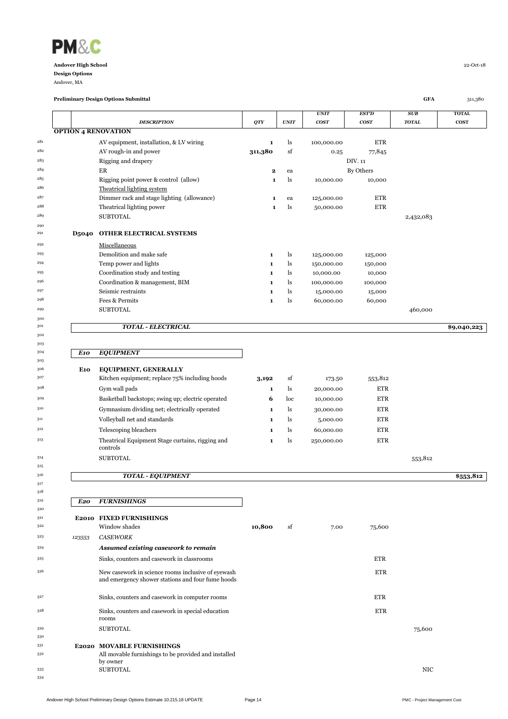

Andover, MA

|            |                 |                                                                                                         |              |      |                                 |                                  |                            | <b>TOTAL</b> |
|------------|-----------------|---------------------------------------------------------------------------------------------------------|--------------|------|---------------------------------|----------------------------------|----------------------------|--------------|
|            |                 | <b>DESCRIPTION</b>                                                                                      | QTY          | UNIT | <b>UNIT</b><br>cos <sub>T</sub> | <b>EST'D</b><br>cos <sub>T</sub> | <b>SUB</b><br><b>TOTAL</b> | <b>COST</b>  |
|            |                 | <b>OPTION 4 RENOVATION</b>                                                                              |              |      |                                 |                                  |                            |              |
| 281        |                 | AV equipment, installation, & LV wiring                                                                 | 1            | ls   | 100,000.00                      | <b>ETR</b>                       |                            |              |
| 282        |                 | AV rough-in and power                                                                                   | 311,380      | sf   | 0.25                            | 77,845                           |                            |              |
| 283        |                 | Rigging and drapery                                                                                     |              |      |                                 | DIV. 11                          |                            |              |
| 284        |                 | ER                                                                                                      | 2            | ea   |                                 | By Others                        |                            |              |
| 285        |                 | Rigging point power & control (allow)                                                                   | 1            | ls   | 10,000.00                       | 10,000                           |                            |              |
| 286        |                 | Theatrical lighting system                                                                              |              |      |                                 |                                  |                            |              |
| 287        |                 | Dimmer rack and stage lighting (allowance)                                                              | 1            | ea   | 125,000.00                      | <b>ETR</b>                       |                            |              |
| 288        |                 | Theatrical lighting power                                                                               | $\mathbf{1}$ | ls   | 50,000.00                       | <b>ETR</b>                       |                            |              |
| 289        |                 | <b>SUBTOTAL</b>                                                                                         |              |      |                                 |                                  | 2,432,083                  |              |
| 290        |                 |                                                                                                         |              |      |                                 |                                  |                            |              |
| 291        | <b>D5040</b>    | OTHER ELECTRICAL SYSTEMS                                                                                |              |      |                                 |                                  |                            |              |
| 292        |                 | Miscellaneous                                                                                           |              |      |                                 |                                  |                            |              |
| 293        |                 | Demolition and make safe                                                                                | 1            | ls   | 125,000.00                      | 125,000                          |                            |              |
| 294        |                 | Temp power and lights                                                                                   | $\mathbf{1}$ | ls   | 150,000.00                      | 150,000                          |                            |              |
| 295        |                 | Coordination study and testing                                                                          | 1            | ls   | 10,000.00                       | 10,000                           |                            |              |
| 296        |                 | Coordination & management, BIM                                                                          | 1            | ls   | 100,000.00                      | 100,000                          |                            |              |
| 297        |                 | Seismic restraints                                                                                      | 1            | ls   | 15,000.00                       | 15,000                           |                            |              |
| 298        |                 | Fees & Permits                                                                                          | $\mathbf{1}$ | ls   | 60,000.00                       | 60,000                           |                            |              |
| 299        |                 | <b>SUBTOTAL</b>                                                                                         |              |      |                                 |                                  | 460,000                    |              |
| 300        |                 |                                                                                                         |              |      |                                 |                                  |                            |              |
| 301        |                 | <b>TOTAL - ELECTRICAL</b>                                                                               |              |      |                                 |                                  |                            | \$9,040,223  |
| 302        |                 |                                                                                                         |              |      |                                 |                                  |                            |              |
| 303        |                 |                                                                                                         |              |      |                                 |                                  |                            |              |
| 304        | E10             | <b>EQUIPMENT</b>                                                                                        |              |      |                                 |                                  |                            |              |
| 305<br>306 | E <sub>10</sub> | <b>EQUIPMENT, GENERALLY</b>                                                                             |              |      |                                 |                                  |                            |              |
| 307        |                 | Kitchen equipment; replace 75% including hoods                                                          | 3,192        | sf   | 173.50                          | 553,812                          |                            |              |
| 308        |                 |                                                                                                         |              |      |                                 |                                  |                            |              |
|            |                 | Gym wall pads                                                                                           | $\mathbf{1}$ | ls   | 20,000.00                       | <b>ETR</b>                       |                            |              |
| 309        |                 | Basketball backstops; swing up; electric operated                                                       | 6            | loc  | 10,000.00                       | <b>ETR</b>                       |                            |              |
| 310        |                 | Gymnasium dividing net; electrically operated                                                           | 1            | ls   | 30,000.00                       | ETR                              |                            |              |
| 311        |                 | Volleyball net and standards                                                                            | $\mathbf{1}$ | ls   | 5,000.00                        | <b>ETR</b>                       |                            |              |
| 312        |                 | Telescoping bleachers                                                                                   | $\mathbf{1}$ | ls   | 60,000.00                       | ETR                              |                            |              |
| 313        |                 | Theatrical Equipment Stage curtains, rigging and<br>controls                                            | $\mathbf{1}$ | ls   | 250,000.00                      | <b>ETR</b>                       |                            |              |
| 314        |                 | <b>SUBTOTAL</b>                                                                                         |              |      |                                 |                                  | 553,812                    |              |
| 315        |                 |                                                                                                         |              |      |                                 |                                  |                            |              |
| 316        |                 | <b>TOTAL - EQUIPMENT</b>                                                                                |              |      |                                 |                                  |                            | \$553,812    |
| 317        |                 |                                                                                                         |              |      |                                 |                                  |                            |              |
| 318<br>319 |                 |                                                                                                         |              |      |                                 |                                  |                            |              |
| 320        | E20             | <b>FURNISHINGS</b>                                                                                      |              |      |                                 |                                  |                            |              |
| 321        |                 | E2010 FIXED FURNISHINGS                                                                                 |              |      |                                 |                                  |                            |              |
| 322        |                 | Window shades                                                                                           | 10,800       | sf   | 7.00                            | 75,600                           |                            |              |
| 323        | 123553          | <b>CASEWORK</b>                                                                                         |              |      |                                 |                                  |                            |              |
| 324        |                 |                                                                                                         |              |      |                                 |                                  |                            |              |
|            |                 | Assumed existing casework to remain                                                                     |              |      |                                 |                                  |                            |              |
| 325        |                 | Sinks, counters and casework in classrooms                                                              |              |      |                                 | <b>ETR</b>                       |                            |              |
| 326        |                 | New casework in science rooms inclusive of eyewash<br>and emergency shower stations and four fume hoods |              |      |                                 | <b>ETR</b>                       |                            |              |
| 327        |                 | Sinks, counters and casework in computer rooms                                                          |              |      |                                 | <b>ETR</b>                       |                            |              |
| 328        |                 | Sinks, counters and casework in special education<br>rooms                                              |              |      |                                 | <b>ETR</b>                       |                            |              |
| 329        |                 | <b>SUBTOTAL</b>                                                                                         |              |      |                                 |                                  | 75,600                     |              |
| 330        |                 |                                                                                                         |              |      |                                 |                                  |                            |              |
| 331        |                 | <b>E2020 MOVABLE FURNISHINGS</b>                                                                        |              |      |                                 |                                  |                            |              |
| 332        |                 | All movable furnishings to be provided and installed                                                    |              |      |                                 |                                  |                            |              |
| 333        |                 | by owner<br><b>SUBTOTAL</b>                                                                             |              |      |                                 |                                  | <b>NIC</b>                 |              |
| 334        |                 |                                                                                                         |              |      |                                 |                                  |                            |              |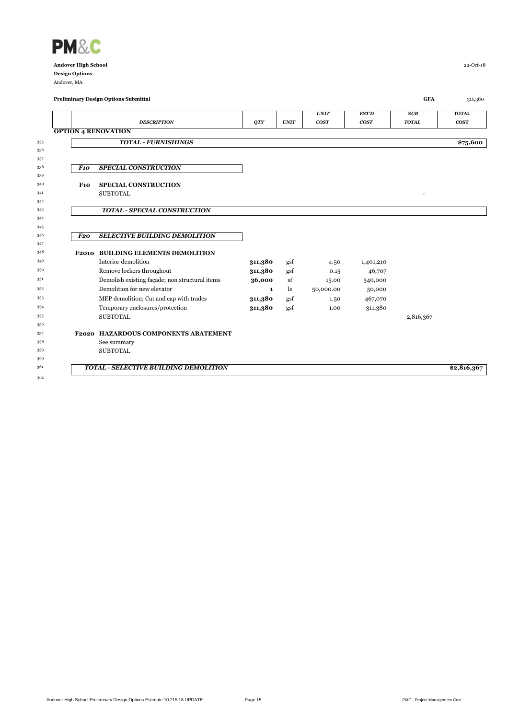

Andover, MA

|            |                 | <b>Preliminary Design Options Submittal</b>    |         |             |             |                  | <b>GFA</b>   | 311,380      |
|------------|-----------------|------------------------------------------------|---------|-------------|-------------|------------------|--------------|--------------|
|            |                 |                                                |         |             | <b>UNIT</b> | <b>EST'D</b>     | SUB          | <b>TOTAL</b> |
|            |                 | <b>DESCRIPTION</b>                             | QTY     | <b>UNIT</b> | <b>COST</b> | cos <sub>T</sub> | <b>TOTAL</b> | <b>COST</b>  |
|            |                 | <b>OPTION 4 RENOVATION</b>                     |         |             |             |                  |              |              |
| 335        |                 | <b>TOTAL - FURNISHINGS</b>                     |         |             |             |                  |              | \$75,600     |
| 336        |                 |                                                |         |             |             |                  |              |              |
| 337        |                 |                                                |         |             |             |                  |              |              |
| 338        | <b>F10</b>      | <b>SPECIAL CONSTRUCTION</b>                    |         |             |             |                  |              |              |
| 339        |                 |                                                |         |             |             |                  |              |              |
| 340        | F <sub>10</sub> | <b>SPECIAL CONSTRUCTION</b>                    |         |             |             |                  |              |              |
| 341        |                 | <b>SUBTOTAL</b>                                |         |             |             |                  |              |              |
| 342        |                 |                                                |         |             |             |                  |              |              |
| 343        |                 | <b>TOTAL - SPECIAL CONSTRUCTION</b>            |         |             |             |                  |              |              |
| 344        |                 |                                                |         |             |             |                  |              |              |
| 345<br>346 | F <sub>20</sub> | <b>SELECTIVE BUILDING DEMOLITION</b>           |         |             |             |                  |              |              |
| 347        |                 |                                                |         |             |             |                  |              |              |
| 348        |                 | <b>F2010 BUILDING ELEMENTS DEMOLITION</b>      |         |             |             |                  |              |              |
| 349        |                 | Interior demolition                            | 311,380 | gsf         | 4.50        | 1,401,210        |              |              |
| 350        |                 | Remove lockers throughout                      | 311,380 | gsf         | 0.15        | 46,707           |              |              |
| 351        |                 | Demolish existing facade; non structural items | 36,000  | sf          | 15.00       | 540,000          |              |              |
| 352        |                 | Demolition for new elevator                    | 1       | ls          | 50,000.00   | 50,000           |              |              |
| 353        |                 | MEP demolition; Cut and cap with trades        | 311,380 | gsf         | 1.50        | 467,070          |              |              |
| 354        |                 | Temporary enclosures/protection                | 311,380 | gsf         | 1.00        | 311,380          |              |              |
| 355        |                 | <b>SUBTOTAL</b>                                |         |             |             |                  | 2,816,367    |              |
| 356        |                 |                                                |         |             |             |                  |              |              |
| 357        |                 | F2020 HAZARDOUS COMPONENTS ABATEMENT           |         |             |             |                  |              |              |
| 358        |                 | See summary                                    |         |             |             |                  |              |              |
| 359        |                 | <b>SUBTOTAL</b>                                |         |             |             |                  |              |              |
| 360        |                 |                                                |         |             |             |                  |              |              |
| 361        |                 | TOTAL - SELECTIVE BUILDING DEMOLITION          |         |             |             |                  |              | \$2,816,367  |
| 362        |                 |                                                |         |             |             |                  |              |              |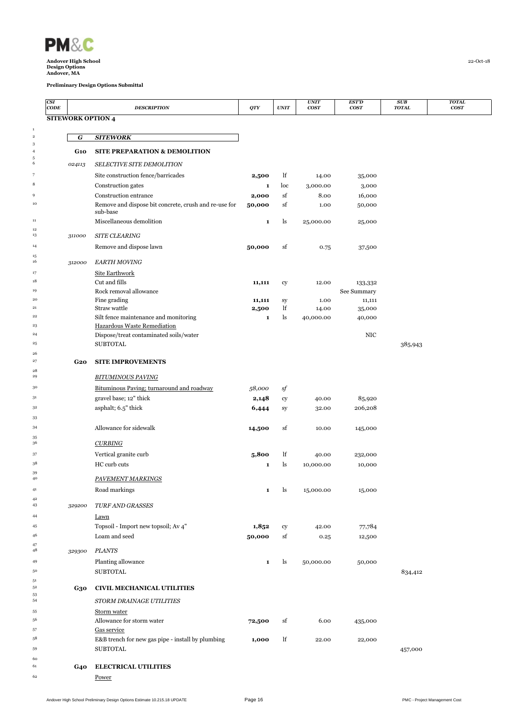

 $\begin{array}{c} 1 \\ 2 \end{array}$ 

 $\begin{array}{c} 12 \\ 13 \end{array}$ 

 $\begin{array}{c} 15 \\ 16 \end{array}$ 

 $\frac{28}{29}$ 

 $\begin{array}{c} 35 \\ 36 \end{array}$ 

 $\frac{42}{43}$ 

 $\frac{47}{48}$ 

<br> $54$ 

**Andover High School** 22-Oct-18 **Design Options Andover, MA**

| CSI<br>CODE |            | <b>DESCRIPTION</b>                                                | QTY         | <b>UNIT</b> | <b>UNIT</b><br><b>COST</b> | <b>EST'D</b><br><b>COST</b> | SUB<br><b>TOTAL</b> | <b>TOTAL</b><br>$\bf{COST}$ |
|-------------|------------|-------------------------------------------------------------------|-------------|-------------|----------------------------|-----------------------------|---------------------|-----------------------------|
|             |            | <b>SITEWORK OPTION 4</b>                                          |             |             |                            |                             |                     |                             |
|             |            |                                                                   |             |             |                            |                             |                     |                             |
| 2<br>3      | G          | <b>SITEWORK</b>                                                   |             |             |                            |                             |                     |                             |
| 4           | <b>G10</b> | <b>SITE PREPARATION &amp; DEMOLITION</b>                          |             |             |                            |                             |                     |                             |
| 5<br>6      | 024113     | SELECTIVE SITE DEMOLITION                                         |             |             |                            |                             |                     |                             |
| 7           |            | Site construction fence/barricades                                | 2,500       | lf          | 14.00                      | 35,000                      |                     |                             |
| 8           |            | Construction gates                                                | 1           | loc         | 3,000.00                   | 3,000                       |                     |                             |
| 9           |            | Construction entrance                                             | 2,000       | sf          | 8.00                       | 16,000                      |                     |                             |
| 10          |            | Remove and dispose bit concrete, crush and re-use for<br>sub-base | 50,000      | sf          | 1.00                       | 50,000                      |                     |                             |
| 11          |            | Miscellaneous demolition                                          | $\mathbf 1$ | ls          | 25,000.00                  | 25,000                      |                     |                             |
| 12<br>13    | 311000     | <b>SITE CLEARING</b>                                              |             |             |                            |                             |                     |                             |
| 14          |            | Remove and dispose lawn                                           | 50,000      | sf          | 0.75                       | 37,500                      |                     |                             |
| 15          |            |                                                                   |             |             |                            |                             |                     |                             |
| 16<br>17    | 312000     | <b>EARTH MOVING</b>                                               |             |             |                            |                             |                     |                             |
| 18          |            | Site Earthwork<br>Cut and fills                                   | 11,111      | cy          | 12.00                      | 133,332                     |                     |                             |
| 19          |            | Rock removal allowance                                            |             |             |                            | See Summary                 |                     |                             |
| 20          |            | Fine grading                                                      | 11,111      | sy          | 1.00                       | 11,111                      |                     |                             |
| 21<br>22    |            | Straw wattle<br>Silt fence maintenance and monitoring             | 2,500       | lf<br>ls    | 14.00<br>40,000.00         | 35,000                      |                     |                             |
| 23          |            | Hazardous Waste Remediation                                       | $\mathbf 1$ |             |                            | 40,000                      |                     |                             |
| 24          |            | Dispose/treat contaminated soils/water                            |             |             |                            | <b>NIC</b>                  |                     |                             |
| 25          |            | <b>SUBTOTAL</b>                                                   |             |             |                            |                             | 385,943             |                             |
| 26<br>27    | <b>G20</b> | <b>SITE IMPROVEMENTS</b>                                          |             |             |                            |                             |                     |                             |
| 28          |            |                                                                   |             |             |                            |                             |                     |                             |
| 29          |            | <b>BITUMINOUS PAVING</b>                                          |             |             |                            |                             |                     |                             |
| 30          |            | Bituminous Paving; turnaround and roadway                         | 58,000      | sf          |                            |                             |                     |                             |
| 31<br>32    |            | gravel base; 12" thick<br>asphalt; 6.5" thick                     | 2,148       | cy          | 40.00                      | 85,920                      |                     |                             |
| 33          |            |                                                                   | 6,444       | sy          | 32.00                      | 206,208                     |                     |                             |
| 34          |            | Allowance for sidewalk                                            | 14,500      | sf          | 10.00                      | 145,000                     |                     |                             |
| 35<br>36    |            |                                                                   |             |             |                            |                             |                     |                             |
| 37          |            | <b>CURBING</b><br>Vertical granite curb                           |             |             |                            |                             |                     |                             |
| 38          |            | HC curb cuts                                                      | 5,800<br>1  | lf<br>ls    | 40.00<br>10,000.00         | 232,000<br>10,000           |                     |                             |
| 39          |            |                                                                   |             |             |                            |                             |                     |                             |
| 40          |            | PAVEMENT MARKINGS                                                 |             |             |                            |                             |                     |                             |
| 41<br>42    |            | Road markings                                                     | 1           | ls          | 15,000.00                  | 15,000                      |                     |                             |
| 43          | 329200     | <b>TURF AND GRASSES</b>                                           |             |             |                            |                             |                     |                             |
| 44          |            | <b>Lawn</b>                                                       |             |             |                            |                             |                     |                             |
| 45          |            | Topsoil - Import new topsoil; Av 4"                               | 1,852       | cy          | 42.00                      | 77,784                      |                     |                             |
| 46<br>47    |            | Loam and seed                                                     | 50,000      | sf          | 0.25                       | 12,500                      |                     |                             |
| 48          | 329300     | <b>PLANTS</b>                                                     |             |             |                            |                             |                     |                             |
| 49          |            | Planting allowance                                                | 1           | ls          | 50,000.00                  | 50,000                      |                     |                             |
| 50          |            | <b>SUBTOTAL</b>                                                   |             |             |                            |                             | 834,412             |                             |
| 51<br>52    | G30        | <b>CIVIL MECHANICAL UTILITIES</b>                                 |             |             |                            |                             |                     |                             |
| 53<br>54    |            | STORM DRAINAGE UTILITIES                                          |             |             |                            |                             |                     |                             |
| 55          |            | Storm water                                                       |             |             |                            |                             |                     |                             |
| 56          |            | Allowance for storm water                                         | 72,500      | sf          | 6.00                       | 435,000                     |                     |                             |
| 57          |            | Gas service                                                       |             |             |                            |                             |                     |                             |
| 58          |            | E&B trench for new gas pipe - install by plumbing                 | 1,000       | lf          | 22.00                      | 22,000                      |                     |                             |
| 59<br>60    |            | <b>SUBTOTAL</b>                                                   |             |             |                            |                             | 457,000             |                             |
| 61          | G40        | <b>ELECTRICAL UTILITIES</b>                                       |             |             |                            |                             |                     |                             |
| 62          |            | <b>Power</b>                                                      |             |             |                            |                             |                     |                             |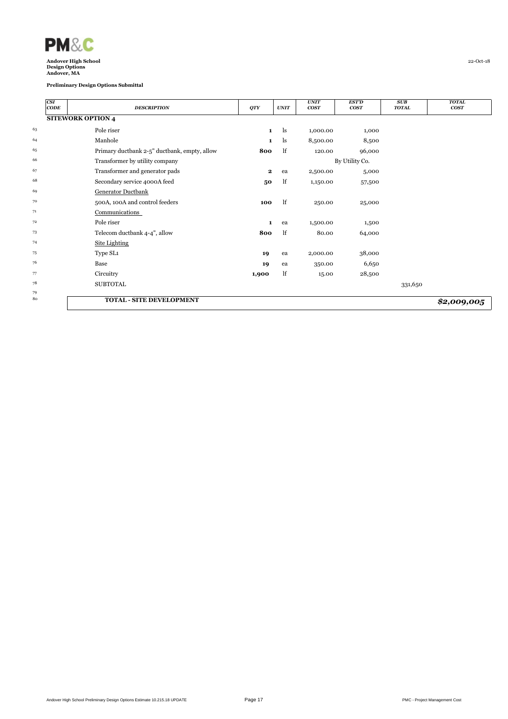

| CSI<br>CODE | <b>DESCRIPTION</b>                           | QTY          | <b>UNIT</b> | <b>UNIT</b><br><b>COST</b> | <b>EST'D</b><br>cos <sub>T</sub> | <b>SUB</b><br><b>TOTAL</b> | <b>TOTAL</b><br><b>COST</b> |
|-------------|----------------------------------------------|--------------|-------------|----------------------------|----------------------------------|----------------------------|-----------------------------|
|             | <b>SITEWORK OPTION 4</b>                     |              |             |                            |                                  |                            |                             |
| 63          | Pole riser                                   | $\mathbf{1}$ | ls          | 1,000.00                   | 1,000                            |                            |                             |
| 64          | Manhole                                      | 1            | ls          | 8,500.00                   | 8,500                            |                            |                             |
| 65          | Primary ductbank 2-5" ductbank, empty, allow | 800          | lf          | 120.00                     | 96,000                           |                            |                             |
| 66          | Transformer by utility company               |              |             |                            | By Utility Co.                   |                            |                             |
| 67          | Transformer and generator pads               | $\mathbf{2}$ | ea          | 2,500.00                   | 5,000                            |                            |                             |
| 68          | Secondary service 4000A feed                 | 50           | lf          | 1,150.00                   | 57,500                           |                            |                             |
| 69          | Generator Ductbank                           |              |             |                            |                                  |                            |                             |
| 70          | 500A, 100A and control feeders               | 100          | lf          | 250.00                     | 25,000                           |                            |                             |
| 71          | Communications                               |              |             |                            |                                  |                            |                             |
| 72          | Pole riser                                   | $\mathbf{1}$ | ea          | 1,500.00                   | 1,500                            |                            |                             |
| 73          | Telecom ductbank 4-4", allow                 | 800          | lf          | 80.00                      | 64,000                           |                            |                             |
| 74          | <b>Site Lighting</b>                         |              |             |                            |                                  |                            |                             |
| 75          | Type SL1                                     | 19           | ea          | 2,000.00                   | 38,000                           |                            |                             |
| 76          | Base                                         | 19           | ea          | 350.00                     | 6,650                            |                            |                             |
| 77          | Circuitry                                    | 1,900        | lf          | 15.00                      | 28,500                           |                            |                             |
| 78          | <b>SUBTOTAL</b>                              |              |             |                            |                                  | 331,650                    |                             |
| 79          |                                              |              |             |                            |                                  |                            |                             |
| 80          | <b>TOTAL - SITE DEVELOPMENT</b>              |              |             |                            |                                  |                            | \$2,009,005                 |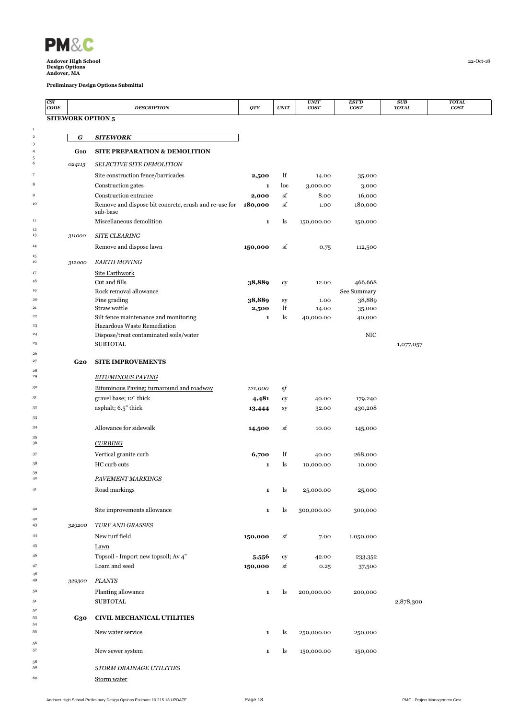

 $\begin{array}{c} 1 \\ 2 \end{array}$ 

 $\begin{array}{c} 12 \\ 13 \end{array}$ 

 $\begin{array}{c} 15 \\ 16 \end{array}$ 

 $\frac{28}{29}$ 

 $\begin{array}{c} 35 \\ 36 \end{array}$ 

 $\begin{array}{c} 42 \\ 43 \end{array}$ 

**Andover High School** 22-Oct-18 **Design Options Andover, MA**

| CSI<br>CODE |                          | <b>DESCRIPTION</b>                                    | QTY                   | <b>UNIT</b> | <b>UNIT</b><br><b>COST</b> | <b>EST'D</b><br><b>COST</b> | SUB<br><b>TOTAL</b> | <b>TOTAL</b><br>cos <sub>T</sub> |
|-------------|--------------------------|-------------------------------------------------------|-----------------------|-------------|----------------------------|-----------------------------|---------------------|----------------------------------|
|             | <b>SITEWORK OPTION 5</b> |                                                       |                       |             |                            |                             |                     |                                  |
|             |                          |                                                       |                       |             |                            |                             |                     |                                  |
| 2<br>3      | G                        | <b>SITEWORK</b>                                       |                       |             |                            |                             |                     |                                  |
| 4           | <b>G10</b>               | <b>SITE PREPARATION &amp; DEMOLITION</b>              |                       |             |                            |                             |                     |                                  |
| 5<br>6      | 024113                   | <b>SELECTIVE SITE DEMOLITION</b>                      |                       |             |                            |                             |                     |                                  |
| 7           |                          | Site construction fence/barricades                    | 2,500                 | lf          | 14.00                      | 35,000                      |                     |                                  |
| 8           |                          | Construction gates                                    | $\mathbf{1}$          | loc         | 3,000.00                   | 3,000                       |                     |                                  |
| 9           |                          | Construction entrance                                 | 2,000                 | sf          | 8.00                       | 16,000                      |                     |                                  |
| 10          |                          | Remove and dispose bit concrete, crush and re-use for | 180,000               | sf          | 1.00                       | 180,000                     |                     |                                  |
| 11          |                          | sub-base<br>Miscellaneous demolition                  | $\mathbf 1$           | ls          | 150,000.00                 | 150,000                     |                     |                                  |
| 12          |                          |                                                       |                       |             |                            |                             |                     |                                  |
| 13          | 311000                   | <b>SITE CLEARING</b>                                  |                       |             |                            |                             |                     |                                  |
| 14          |                          | Remove and dispose lawn                               | 150,000               | sf          | 0.75                       | 112,500                     |                     |                                  |
| 15<br>16    | 312000                   | <b>EARTH MOVING</b>                                   |                       |             |                            |                             |                     |                                  |
| 17          |                          | <b>Site Earthwork</b>                                 |                       |             |                            |                             |                     |                                  |
| 18          |                          | Cut and fills                                         | 38,889                | cy          | 12.00                      | 466,668                     |                     |                                  |
| 19          |                          | Rock removal allowance                                |                       |             |                            | See Summary                 |                     |                                  |
| 20<br>21    |                          | Fine grading<br>Straw wattle                          | 38,889                | sy<br>lf    | 1.00                       | 38,889                      |                     |                                  |
| 22          |                          | Silt fence maintenance and monitoring                 | 2,500<br>$\mathbf{1}$ | ls          | 14.00<br>40,000.00         | 35,000<br>40,000            |                     |                                  |
| 23          |                          | Hazardous Waste Remediation                           |                       |             |                            |                             |                     |                                  |
| 24          |                          | Dispose/treat contaminated soils/water                |                       |             |                            | <b>NIC</b>                  |                     |                                  |
| 25          |                          | <b>SUBTOTAL</b>                                       |                       |             |                            |                             | 1,077,057           |                                  |
| 26          |                          |                                                       |                       |             |                            |                             |                     |                                  |
| 27<br>28    | <b>G20</b>               | <b>SITE IMPROVEMENTS</b>                              |                       |             |                            |                             |                     |                                  |
| 29          |                          | <b>BITUMINOUS PAVING</b>                              |                       |             |                            |                             |                     |                                  |
| 30          |                          | Bituminous Paving; turnaround and roadway             | 121,000               | sf          |                            |                             |                     |                                  |
| 31          |                          | gravel base; 12" thick                                | 4,481                 | cy          | 40.00                      | 179,240                     |                     |                                  |
| 32          |                          | asphalt; 6.5" thick                                   | 13,444                | sy          | 32.00                      | 430,208                     |                     |                                  |
| 33          |                          |                                                       |                       |             |                            |                             |                     |                                  |
| 34          |                          | Allowance for sidewalk                                | 14,500                | sf          | 10.00                      | 145,000                     |                     |                                  |
| 35<br>36    |                          | <b>CURBING</b>                                        |                       |             |                            |                             |                     |                                  |
| 37          |                          | Vertical granite curb                                 | 6,700                 | lf          | 40.00                      | 268,000                     |                     |                                  |
| 38          |                          | HC curb cuts                                          | $\mathbf{1}$          | ls          | 10,000.00                  | 10,000                      |                     |                                  |
| 39<br>40    |                          |                                                       |                       |             |                            |                             |                     |                                  |
|             |                          | PAVEMENT MARKINGS                                     |                       |             |                            |                             |                     |                                  |
| 41          |                          | Road markings                                         | 1                     | ls          | 25,000.00                  | 25,000                      |                     |                                  |
| 42          |                          | Site improvements allowance                           | 1                     | ls          | 300,000.00                 | 300,000                     |                     |                                  |
| 42          |                          |                                                       |                       |             |                            |                             |                     |                                  |
| 43          | 329200                   | <b>TURF AND GRASSES</b>                               |                       |             |                            |                             |                     |                                  |
| 44          |                          | New turf field                                        | 150,000               | sf          | 7.00                       | 1,050,000                   |                     |                                  |
| 45          |                          | <b>Lawn</b>                                           |                       |             |                            |                             |                     |                                  |
| 46          |                          | Topsoil - Import new topsoil; Av 4"                   | 5,556                 | cy          | 42.00                      | 233,352                     |                     |                                  |
| 47<br>48    |                          | Loam and seed                                         | 150,000               | sf          | 0.25                       | 37,500                      |                     |                                  |
| 49          | 329300                   | <b>PLANTS</b>                                         |                       |             |                            |                             |                     |                                  |
| 50          |                          | Planting allowance                                    | $\mathbf 1$           | ls          | 200,000.00                 | 200,000                     |                     |                                  |
| 51          |                          | <b>SUBTOTAL</b>                                       |                       |             |                            |                             | 2,878,300           |                                  |
| 52          |                          |                                                       |                       |             |                            |                             |                     |                                  |
| 53<br>54    | G30                      | CIVIL MECHANICAL UTILITIES                            |                       |             |                            |                             |                     |                                  |
| 55          |                          | New water service                                     | 1                     | ls          | 250,000.00                 | 250,000                     |                     |                                  |
| 56          |                          |                                                       |                       |             |                            |                             |                     |                                  |
| 57          |                          | New sewer system                                      | 1                     | ls          | 150,000.00                 | 150,000                     |                     |                                  |
| 58<br>59    |                          | STORM DRAINAGE UTILITIES                              |                       |             |                            |                             |                     |                                  |
| 60          |                          | Storm water                                           |                       |             |                            |                             |                     |                                  |
|             |                          |                                                       |                       |             |                            |                             |                     |                                  |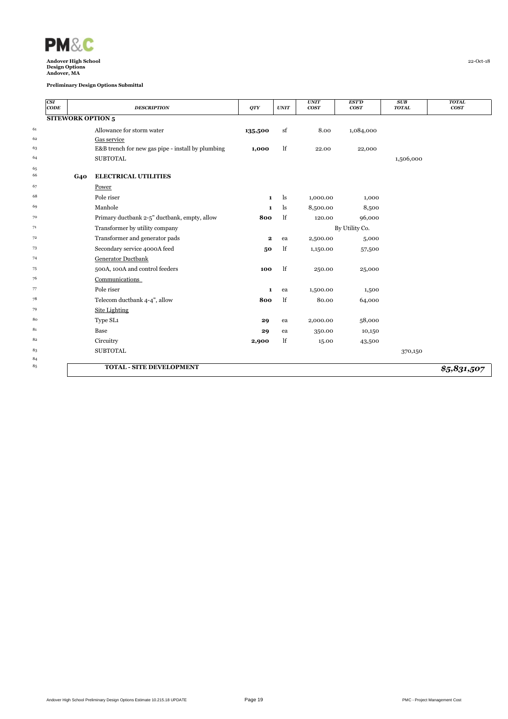

|          | CSI<br>$CODE$ |            | <b>DESCRIPTION</b>                                | <b>QTY</b>   | <b>UNIT</b> | <b>UNIT</b><br><b>COST</b> | <b>EST'D</b><br><b>COST</b> | SUB<br><b>TOTAL</b> | <b>TOTAL</b><br>cos <sub>T</sub> |
|----------|---------------|------------|---------------------------------------------------|--------------|-------------|----------------------------|-----------------------------|---------------------|----------------------------------|
|          |               |            | <b>SITEWORK OPTION 5</b>                          |              |             |                            |                             |                     |                                  |
| 61       |               |            | Allowance for storm water                         | 135,500      | sf          | 8.00                       | 1,084,000                   |                     |                                  |
| 62       |               |            | Gas service                                       |              |             |                            |                             |                     |                                  |
| 63       |               |            | E&B trench for new gas pipe - install by plumbing | 1,000        | lf          | 22.00                      | 22,000                      |                     |                                  |
| 64       |               |            | <b>SUBTOTAL</b>                                   |              |             |                            |                             | 1,506,000           |                                  |
| 65<br>66 |               | <b>G40</b> | <b>ELECTRICAL UTILITIES</b>                       |              |             |                            |                             |                     |                                  |
| 67       |               |            | Power                                             |              |             |                            |                             |                     |                                  |
| 68       |               |            | Pole riser                                        | $\mathbf{1}$ | ls          | 1,000.00                   | 1,000                       |                     |                                  |
| 69       |               |            | Manhole                                           | 1            | ls          | 8,500.00                   | 8,500                       |                     |                                  |
| 70       |               |            | Primary ductbank 2-5" ductbank, empty, allow      | 800          | lf          | 120.00                     | 96,000                      |                     |                                  |
| 71       |               |            | Transformer by utility company                    |              |             |                            | By Utility Co.              |                     |                                  |
| 72       |               |            | Transformer and generator pads                    | $\mathbf{2}$ | ea          | 2,500.00                   | 5,000                       |                     |                                  |
| 73       |               |            | Secondary service 4000A feed                      | 50           | lf          | 1,150.00                   | 57,500                      |                     |                                  |
| 74       |               |            | Generator Ductbank                                |              |             |                            |                             |                     |                                  |
| 75       |               |            | 500A, 100A and control feeders                    | 100          | lf          | 250.00                     | 25,000                      |                     |                                  |
| 76       |               |            | Communications                                    |              |             |                            |                             |                     |                                  |
| 77       |               |            | Pole riser                                        | $\mathbf{1}$ | ea          | 1,500.00                   | 1,500                       |                     |                                  |
| 78       |               |            | Telecom ductbank 4-4", allow                      | 800          | lf          | 80.00                      | 64,000                      |                     |                                  |
| 79       |               |            | Site Lighting                                     |              |             |                            |                             |                     |                                  |
| 80       |               |            | Type SL1                                          | 29           | ea          | 2,000.00                   | 58,000                      |                     |                                  |
| 81       |               |            | Base                                              | 29           | ea          | 350.00                     | 10,150                      |                     |                                  |
| 82       |               |            | Circuitry                                         | 2,900        | lf          | 15.00                      | 43,500                      |                     |                                  |
| 83       |               |            | <b>SUBTOTAL</b>                                   |              |             |                            |                             | 370,150             |                                  |
| 84       |               |            |                                                   |              |             |                            |                             |                     |                                  |
| 85       |               |            | <b>TOTAL - SITE DEVELOPMENT</b>                   |              |             |                            |                             |                     | \$5,831,507                      |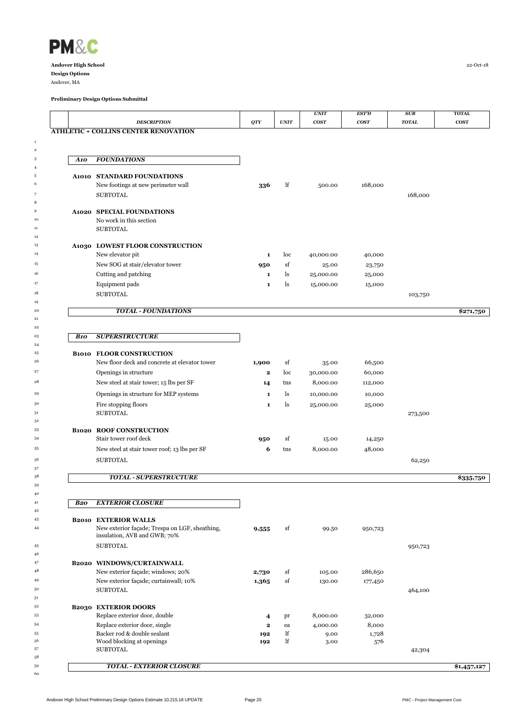

Andover, MA

 

 

 

|            | <b>DESCRIPTION</b>                                                            | QTY          | <b>UNIT</b> | <b>UNIT</b><br><b>COST</b> | <b>EST'D</b><br>$\bf{COST}$ | SUB<br><b>TOTAL</b> | <b>TOTAL</b><br><b>COST</b> |
|------------|-------------------------------------------------------------------------------|--------------|-------------|----------------------------|-----------------------------|---------------------|-----------------------------|
|            | <b>ATHLETIC + COLLINS CENTER RENOVATION</b>                                   |              |             |                            |                             |                     |                             |
|            |                                                                               |              |             |                            |                             |                     |                             |
|            |                                                                               |              |             |                            |                             |                     |                             |
| A10        | <b>FOUNDATIONS</b>                                                            |              |             |                            |                             |                     |                             |
|            |                                                                               |              |             |                            |                             |                     |                             |
|            | A1010 STANDARD FOUNDATIONS                                                    |              |             |                            |                             |                     |                             |
|            | New footings at new perimeter wall                                            | 336          | lf          | 500.00                     | 168,000                     |                     |                             |
|            | <b>SUBTOTAL</b>                                                               |              |             |                            |                             | 168,000             |                             |
|            |                                                                               |              |             |                            |                             |                     |                             |
|            | A1020 SPECIAL FOUNDATIONS<br>No work in this section                          |              |             |                            |                             |                     |                             |
|            | <b>SUBTOTAL</b>                                                               |              |             |                            |                             |                     |                             |
|            |                                                                               |              |             |                            |                             |                     |                             |
|            | A1030 LOWEST FLOOR CONSTRUCTION                                               |              |             |                            |                             |                     |                             |
|            | New elevator pit                                                              | $\mathbf 1$  | loc         | 40,000.00                  | 40,000                      |                     |                             |
|            | New SOG at stair/elevator tower                                               | 950          | sf          | 25.00                      | 23,750                      |                     |                             |
|            | Cutting and patching                                                          | 1            | ls          | 25,000.00                  | 25,000                      |                     |                             |
|            | Equipment pads                                                                | $\mathbf 1$  | ls          | 15,000.00                  | 15,000                      |                     |                             |
|            | <b>SUBTOTAL</b>                                                               |              |             |                            |                             | 103,750             |                             |
|            |                                                                               |              |             |                            |                             |                     |                             |
|            | <b>TOTAL - FOUNDATIONS</b>                                                    |              |             |                            |                             |                     | \$271,750                   |
|            |                                                                               |              |             |                            |                             |                     |                             |
| <b>B10</b> | <b>SUPERSTRUCTURE</b>                                                         |              |             |                            |                             |                     |                             |
|            | <b>B1010 FLOOR CONSTRUCTION</b>                                               |              |             |                            |                             |                     |                             |
|            | New floor deck and concrete at elevator tower                                 | 1,900        | sf          | 35.00                      | 66,500                      |                     |                             |
|            |                                                                               | $\mathbf{2}$ | loc         |                            | 60,000                      |                     |                             |
|            | Openings in structure                                                         |              |             | 30,000.00                  |                             |                     |                             |
|            | New steel at stair tower; 15 lbs per SF                                       | 14           | tns         | 8,000.00                   | 112,000                     |                     |                             |
|            | Openings in structure for MEP systems                                         | $\mathbf 1$  | ls          | 10,000.00                  | 10,000                      |                     |                             |
|            | Fire stopping floors                                                          | $\mathbf 1$  | ls          | 25,000.00                  | 25,000                      |                     |                             |
|            | <b>SUBTOTAL</b>                                                               |              |             |                            |                             | 273,500             |                             |
|            | <b>B1020 ROOF CONSTRUCTION</b>                                                |              |             |                            |                             |                     |                             |
|            | Stair tower roof deck                                                         | 950          | sf          | 15.00                      | 14,250                      |                     |                             |
|            | New steel at stair tower roof; 13 lbs per SF                                  | 6            | tns         | 8,000.00                   | 48,000                      |                     |                             |
|            | <b>SUBTOTAL</b>                                                               |              |             |                            |                             | 62,250              |                             |
|            |                                                                               |              |             |                            |                             |                     |                             |
|            | <b>TOTAL - SUPERSTRUCTURE</b>                                                 |              |             |                            |                             |                     | \$335,750                   |
|            |                                                                               |              |             |                            |                             |                     |                             |
| B20        | <b>EXTERIOR CLOSURE</b>                                                       |              |             |                            |                             |                     |                             |
|            |                                                                               |              |             |                            |                             |                     |                             |
|            | <b>B2010 EXTERIOR WALLS</b><br>New exterior façade; Trespa on LGF, sheathing, |              | sf          |                            |                             |                     |                             |
|            | insulation, AVB and GWB; 70%                                                  | 9,555        |             | 99.50                      | 950,723                     |                     |                             |
|            | <b>SUBTOTAL</b>                                                               |              |             |                            |                             | 950,723             |                             |
|            |                                                                               |              |             |                            |                             |                     |                             |
|            | B2020 WINDOWS/CURTAINWALL                                                     |              |             |                            |                             |                     |                             |
|            | New exterior façade; windows; 20%                                             | 2,730        | sf          | 105.00                     | 286,650                     |                     |                             |
|            | New exterior façade; curtainwall; 10%                                         | 1,365        | sf          | 130.00                     | 177,450                     |                     |                             |
|            | <b>SUBTOTAL</b>                                                               |              |             |                            |                             | 464,100             |                             |
|            | <b>B2030 EXTERIOR DOORS</b>                                                   |              |             |                            |                             |                     |                             |
|            | Replace exterior door, double                                                 | 4            | pr          | 8,000.00                   | 32,000                      |                     |                             |
|            | Replace exterior door, single                                                 | $\mathbf{2}$ | ea          | 4,000.00                   | 8,000                       |                     |                             |
|            | Backer rod & double sealant                                                   | 192          | lf          | 9.00                       | 1,728                       |                     |                             |
|            | Wood blocking at openings                                                     | 192          | lf          | 3.00                       | 576                         |                     |                             |
|            | <b>SUBTOTAL</b>                                                               |              |             |                            |                             | 42,304              |                             |
|            | <b>TOTAL - EXTERIOR CLOSURE</b>                                               |              |             |                            |                             |                     | \$1,457,127                 |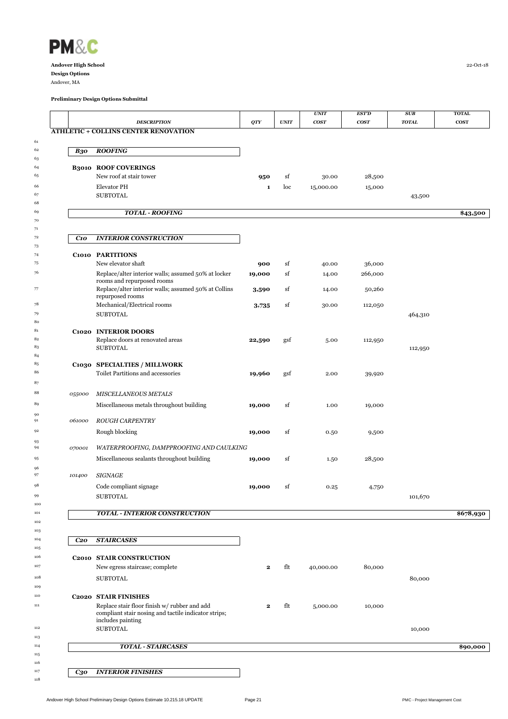

 

96<br>97

 

 

| <b>DESCRIPTION</b><br><b>ATHLETIC + COLLINS CENTER RENOVATION</b>                                                         | QTY                                                                                                                                                                                                                   | <b>UNIT</b>                                                           | <b>COST</b>     | $\bf{COST}$   | <b>TOTAL</b>      | <b>COST</b>        |
|---------------------------------------------------------------------------------------------------------------------------|-----------------------------------------------------------------------------------------------------------------------------------------------------------------------------------------------------------------------|-----------------------------------------------------------------------|-----------------|---------------|-------------------|--------------------|
|                                                                                                                           |                                                                                                                                                                                                                       |                                                                       |                 |               |                   |                    |
|                                                                                                                           |                                                                                                                                                                                                                       |                                                                       |                 |               |                   |                    |
|                                                                                                                           |                                                                                                                                                                                                                       |                                                                       |                 |               |                   |                    |
| <b>ROOFING</b>                                                                                                            |                                                                                                                                                                                                                       |                                                                       |                 |               |                   |                    |
| <b>B3010 ROOF COVERINGS</b>                                                                                               |                                                                                                                                                                                                                       |                                                                       |                 |               |                   |                    |
| New roof at stair tower                                                                                                   | 950                                                                                                                                                                                                                   | sf                                                                    | 30.00           | 28,500        |                   |                    |
| <b>Elevator PH</b>                                                                                                        | 1                                                                                                                                                                                                                     | loc                                                                   | 15,000.00       | 15,000        |                   |                    |
| <b>SUBTOTAL</b>                                                                                                           |                                                                                                                                                                                                                       |                                                                       |                 |               | 43,500            |                    |
| <b>TOTAL - ROOFING</b>                                                                                                    |                                                                                                                                                                                                                       |                                                                       |                 |               |                   | \$43,500           |
|                                                                                                                           |                                                                                                                                                                                                                       |                                                                       |                 |               |                   |                    |
| <b>INTERIOR CONSTRUCTION</b>                                                                                              |                                                                                                                                                                                                                       |                                                                       |                 |               |                   |                    |
| C1010 PARTITIONS                                                                                                          |                                                                                                                                                                                                                       |                                                                       |                 |               |                   |                    |
| New elevator shaft                                                                                                        | 900                                                                                                                                                                                                                   | sf                                                                    | 40.00           | 36,000        |                   |                    |
| Replace/alter interior walls; assumed 50% at locker                                                                       | 19,000                                                                                                                                                                                                                | sf                                                                    | 14.00           | 266,000       |                   |                    |
| Replace/alter interior walls; assumed 50% at Collins                                                                      | 3,590                                                                                                                                                                                                                 | sf                                                                    | 14.00           | 50,260        |                   |                    |
|                                                                                                                           |                                                                                                                                                                                                                       |                                                                       |                 |               |                   |                    |
| <b>SUBTOTAL</b>                                                                                                           |                                                                                                                                                                                                                       |                                                                       |                 |               |                   |                    |
|                                                                                                                           |                                                                                                                                                                                                                       |                                                                       |                 |               |                   |                    |
| C1020 INTERIOR DOORS                                                                                                      |                                                                                                                                                                                                                       |                                                                       |                 |               |                   |                    |
|                                                                                                                           |                                                                                                                                                                                                                       |                                                                       | 5.00            | 112,950       |                   |                    |
|                                                                                                                           |                                                                                                                                                                                                                       |                                                                       |                 |               |                   |                    |
| C1030 SPECIALTIES / MILLWORK                                                                                              |                                                                                                                                                                                                                       |                                                                       |                 |               |                   |                    |
| Toilet Partitions and accessories                                                                                         | 19,960                                                                                                                                                                                                                | gsf                                                                   | 2.00            | 39,920        |                   |                    |
|                                                                                                                           |                                                                                                                                                                                                                       |                                                                       |                 |               |                   |                    |
| MISCELLANEOUS METALS                                                                                                      |                                                                                                                                                                                                                       |                                                                       |                 |               |                   |                    |
| Miscellaneous metals throughout building                                                                                  | 19,000                                                                                                                                                                                                                | sf                                                                    | 1.00            | 19,000        |                   |                    |
| <b>ROUGH CARPENTRY</b>                                                                                                    |                                                                                                                                                                                                                       |                                                                       |                 |               |                   |                    |
| Rough blocking                                                                                                            | 19,000                                                                                                                                                                                                                | sf                                                                    | 0.50            | 9,500         |                   |                    |
|                                                                                                                           |                                                                                                                                                                                                                       |                                                                       |                 |               |                   |                    |
|                                                                                                                           |                                                                                                                                                                                                                       |                                                                       |                 |               |                   |                    |
|                                                                                                                           |                                                                                                                                                                                                                       |                                                                       |                 |               |                   |                    |
| <b>SIGNAGE</b>                                                                                                            |                                                                                                                                                                                                                       |                                                                       |                 |               |                   |                    |
| Code compliant signage                                                                                                    | 19,000                                                                                                                                                                                                                | sf                                                                    | 0.25            | 4,750         |                   |                    |
| <b>SUBTOTAL</b>                                                                                                           |                                                                                                                                                                                                                       |                                                                       |                 |               | 101,670           |                    |
| <b>TOTAL - INTERIOR CONSTRUCTION</b>                                                                                      |                                                                                                                                                                                                                       |                                                                       |                 |               |                   | \$678,930          |
|                                                                                                                           |                                                                                                                                                                                                                       |                                                                       |                 |               |                   |                    |
| <b>STAIRCASES</b>                                                                                                         |                                                                                                                                                                                                                       |                                                                       |                 |               |                   |                    |
|                                                                                                                           |                                                                                                                                                                                                                       |                                                                       |                 |               |                   |                    |
| New egress staircase; complete                                                                                            | $\mathbf{2}$                                                                                                                                                                                                          | flt                                                                   | 40,000.00       | 80,000        |                   |                    |
| <b>SUBTOTAL</b>                                                                                                           |                                                                                                                                                                                                                       |                                                                       |                 |               | 80,000            |                    |
|                                                                                                                           |                                                                                                                                                                                                                       |                                                                       |                 |               |                   |                    |
| <b>C2020 STAIR FINISHES</b>                                                                                               |                                                                                                                                                                                                                       |                                                                       |                 |               |                   |                    |
| Replace stair floor finish w/ rubber and add<br>compliant stair nosing and tactile indicator strips;<br>includes painting | 2                                                                                                                                                                                                                     | flt                                                                   | 5,000.00        | 10,000        |                   |                    |
| <b>SUBTOTAL</b>                                                                                                           |                                                                                                                                                                                                                       |                                                                       |                 |               | 10,000            |                    |
| <b>TOTAL - STAIRCASES</b>                                                                                                 |                                                                                                                                                                                                                       |                                                                       |                 |               |                   | \$90,000           |
|                                                                                                                           |                                                                                                                                                                                                                       |                                                                       |                 |               |                   |                    |
| <b>INTERIOR FINISHES</b>                                                                                                  |                                                                                                                                                                                                                       |                                                                       |                 |               |                   |                    |
|                                                                                                                           | rooms and repurposed rooms<br>repurposed rooms<br>Mechanical/Electrical rooms<br>Replace doors at renovated areas<br><b>SUBTOTAL</b><br>Miscellaneous sealants throughout building<br><b>C2010 STAIR CONSTRUCTION</b> | 3,735<br>22,590<br>WATERPROOFING, DAMPPROOFING AND CAULKING<br>19,000 | sf<br>gsf<br>sf | 30.00<br>1.50 | 112,050<br>28,500 | 464,310<br>112,950 |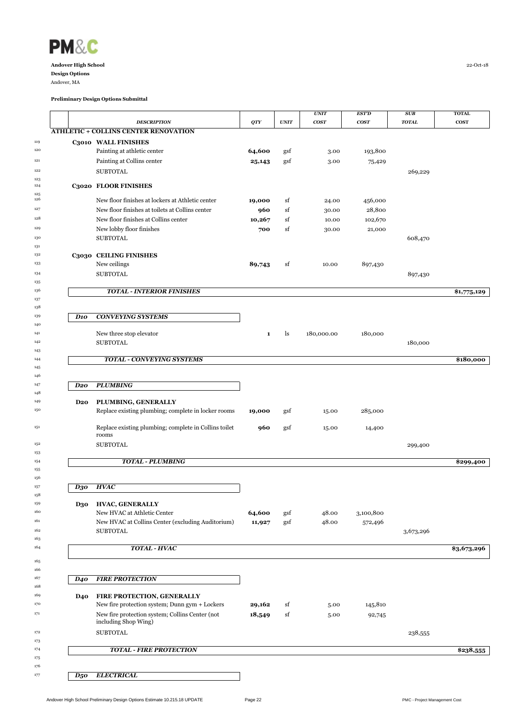

Andover, MA

 $\begin{array}{c} 123 \\ 124 \end{array}$ 

 $\begin{array}{c} 125 \\ 126 \end{array}$ 

 

 

 

 

 

|                 |                 |                                                       |                  |            | <b>UNIT</b>    | <b>EST'D</b>         | <b>SUB</b>   | <b>TOTAL</b> |
|-----------------|-----------------|-------------------------------------------------------|------------------|------------|----------------|----------------------|--------------|--------------|
|                 |                 | <b>DESCRIPTION</b>                                    | QTY              | UNIT       | <b>COST</b>    | $\bf{COST}$          | <b>TOTAL</b> | $\cos$       |
|                 |                 | <b>ATHLETIC + COLLINS CENTER RENOVATION</b>           |                  |            |                |                      |              |              |
|                 |                 | C3010 WALL FINISHES                                   |                  |            |                |                      |              |              |
|                 |                 | Painting at athletic center                           | 64,600           | gsf        | 3.00           | 193,800              |              |              |
|                 |                 | Painting at Collins center                            | 25,143           | gsf        | 3.00           | 75,429               |              |              |
|                 |                 | <b>SUBTOTAL</b>                                       |                  |            |                |                      | 269,229      |              |
|                 |                 |                                                       |                  |            |                |                      |              |              |
|                 |                 | C3020 FLOOR FINISHES                                  |                  |            |                |                      |              |              |
|                 |                 | New floor finishes at lockers at Athletic center      | 19,000           | sf         | 24.00          | 456,000              |              |              |
|                 |                 | New floor finishes at toilets at Collins center       | 960              | sf         | 30.00          | 28,800               |              |              |
|                 |                 | New floor finishes at Collins center                  | 10,267           | sf         | 10.00          | 102,670              |              |              |
|                 |                 | New lobby floor finishes                              | 700              | sf         | 30.00          | 21,000               |              |              |
|                 |                 | <b>SUBTOTAL</b>                                       |                  |            |                |                      | 608,470      |              |
|                 |                 | C3030 CEILING FINISHES                                |                  |            |                |                      |              |              |
|                 |                 | New ceilings                                          | 89,743           | sf         | 10.00          | 897,430              |              |              |
|                 |                 | <b>SUBTOTAL</b>                                       |                  |            |                |                      | 897,430      |              |
|                 |                 |                                                       |                  |            |                |                      |              |              |
|                 |                 | <b>TOTAL - INTERIOR FINISHES</b>                      |                  |            |                |                      |              | \$1,775,129  |
|                 |                 |                                                       |                  |            |                |                      |              |              |
|                 |                 |                                                       |                  |            |                |                      |              |              |
| $\bm{D}$ 10     |                 | <b>CONVEYING SYSTEMS</b>                              |                  |            |                |                      |              |              |
|                 |                 | New three stop elevator                               | 1                | ls         | 180,000.00     | 180,000              |              |              |
|                 |                 | <b>SUBTOTAL</b>                                       |                  |            |                |                      | 180,000      |              |
|                 |                 |                                                       |                  |            |                |                      |              |              |
|                 |                 | <b>TOTAL - CONVEYING SYSTEMS</b>                      |                  |            |                |                      |              | \$180,000    |
|                 |                 |                                                       |                  |            |                |                      |              |              |
| D <sub>20</sub> |                 | <b>PLUMBING</b>                                       |                  |            |                |                      |              |              |
|                 |                 |                                                       |                  |            |                |                      |              |              |
|                 | D <sub>20</sub> | PLUMBING, GENERALLY                                   |                  |            |                |                      |              |              |
|                 |                 | Replace existing plumbing; complete in locker rooms   | 19,000           | gsf        | 15.00          | 285,000              |              |              |
|                 |                 | Replace existing plumbing; complete in Collins toilet | 960              | gsf        |                |                      |              |              |
|                 |                 | rooms                                                 |                  |            | 15.00          | 14,400               |              |              |
|                 |                 | <b>SUBTOTAL</b>                                       |                  |            |                |                      | 299,400      |              |
|                 |                 |                                                       |                  |            |                |                      |              |              |
|                 |                 | <b>TOTAL - PLUMBING</b>                               |                  |            |                |                      |              | \$299,400    |
|                 |                 |                                                       |                  |            |                |                      |              |              |
|                 | D30             | <b>HVAC</b>                                           |                  |            |                |                      |              |              |
|                 |                 |                                                       |                  |            |                |                      |              |              |
|                 | <b>D30</b>      | <b>HVAC, GENERALLY</b><br>New HVAC at Athletic Center |                  |            |                |                      |              |              |
|                 |                 | New HVAC at Collins Center (excluding Auditorium)     | 64,600<br>11,927 | gsf<br>gsf | 48.00<br>48.00 | 3,100,800<br>572,496 |              |              |
|                 |                 | <b>SUBTOTAL</b>                                       |                  |            |                |                      | 3,673,296    |              |
|                 |                 |                                                       |                  |            |                |                      |              |              |
|                 |                 | TOTAL - HVAC                                          |                  |            |                |                      |              | \$3,673,296  |
|                 |                 |                                                       |                  |            |                |                      |              |              |
|                 |                 |                                                       |                  |            |                |                      |              |              |
| D40             |                 | <b>FIRE PROTECTION</b>                                |                  |            |                |                      |              |              |
|                 | <b>D40</b>      | FIRE PROTECTION, GENERALLY                            |                  |            |                |                      |              |              |
|                 |                 | New fire protection system; Dunn gym + Lockers        | 29,162           | sf         | 5.00           | 145,810              |              |              |
|                 |                 | New fire protection system; Collins Center (not       | 18,549           | sf         | 5.00           | 92,745               |              |              |
|                 |                 | including Shop Wing)                                  |                  |            |                |                      |              |              |
|                 |                 | <b>SUBTOTAL</b>                                       |                  |            |                |                      | 238,555      |              |
|                 |                 |                                                       |                  |            |                |                      |              |              |
|                 |                 | <b>TOTAL - FIRE PROTECTION</b>                        |                  |            |                |                      |              | \$238,555    |
|                 |                 |                                                       |                  |            |                |                      |              |              |
|                 |                 |                                                       |                  |            |                |                      |              |              |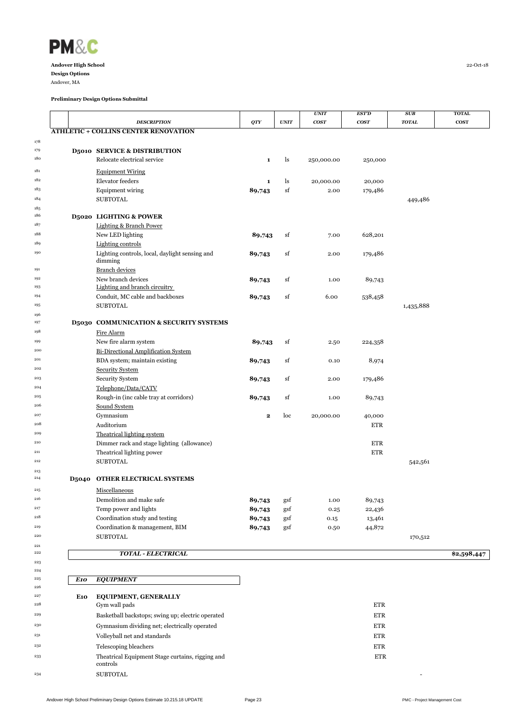

Andover, MA

|     | <b>DESCRIPTION</b>                                                      | QTY          | <b>UNIT</b>          | <b>UNIT</b><br><b>COST</b> | <b>EST'D</b><br>cos <sub>T</sub> | SUB<br><b>TOTAL</b> | <b>TOTAL</b><br><b>COST</b> |
|-----|-------------------------------------------------------------------------|--------------|----------------------|----------------------------|----------------------------------|---------------------|-----------------------------|
|     | <b>ATHLETIC + COLLINS CENTER RENOVATION</b>                             |              |                      |                            |                                  |                     |                             |
|     |                                                                         |              |                      |                            |                                  |                     |                             |
|     | <b>D5010 SERVICE &amp; DISTRIBUTION</b>                                 |              |                      |                            |                                  |                     |                             |
|     | Relocate electrical service                                             | $\mathbf{1}$ | ls                   | 250,000.00                 | 250,000                          |                     |                             |
|     | <b>Equipment Wiring</b>                                                 |              |                      |                            |                                  |                     |                             |
|     | Elevator feeders                                                        | $\mathbf{1}$ | ls                   | 20,000.00                  | 20,000                           |                     |                             |
|     | <b>Equipment wiring</b>                                                 | 89,743       | sf                   | 2.00                       | 179,486                          |                     |                             |
|     | <b>SUBTOTAL</b>                                                         |              |                      |                            |                                  | 449,486             |                             |
|     |                                                                         |              |                      |                            |                                  |                     |                             |
|     | <b>D5020 LIGHTING &amp; POWER</b><br><b>Lighting &amp; Branch Power</b> |              |                      |                            |                                  |                     |                             |
|     | New LED lighting                                                        | 89,743       | sf                   | 7.00                       | 628,201                          |                     |                             |
|     | <b>Lighting controls</b>                                                |              |                      |                            |                                  |                     |                             |
|     | Lighting controls, local, daylight sensing and                          | 89,743       | sf                   | 2.00                       | 179,486                          |                     |                             |
|     | dimming                                                                 |              |                      |                            |                                  |                     |                             |
|     | <b>Branch devices</b>                                                   |              |                      |                            |                                  |                     |                             |
|     | New branch devices<br>Lighting and branch circuitry                     | 89,743       | sf                   | 1.00                       | 89,743                           |                     |                             |
|     | Conduit, MC cable and backboxes                                         | 89,743       | sf                   | 6.00                       | 538,458                          |                     |                             |
|     | <b>SUBTOTAL</b>                                                         |              |                      |                            |                                  | 1,435,888           |                             |
|     |                                                                         |              |                      |                            |                                  |                     |                             |
|     | D5030 COMMUNICATION & SECURITY SYSTEMS                                  |              |                      |                            |                                  |                     |                             |
|     | Fire Alarm                                                              |              |                      |                            |                                  |                     |                             |
|     | New fire alarm system                                                   | 89,743       | sf                   | 2.50                       | 224,358                          |                     |                             |
|     | <b>Bi-Directional Amplification System</b>                              |              |                      |                            |                                  |                     |                             |
|     | BDA system; maintain existing                                           | 89,743       | sf                   | 0.10                       | 8,974                            |                     |                             |
|     | <b>Security System</b>                                                  |              |                      |                            |                                  |                     |                             |
|     | <b>Security System</b>                                                  | 89,743       | sf                   | 2.00                       | 179,486                          |                     |                             |
|     | Telephone/Data/CATV<br>Rough-in (inc cable tray at corridors)           |              | sf                   | 1.00                       |                                  |                     |                             |
|     | Sound System                                                            | 89,743       |                      |                            | 89,743                           |                     |                             |
|     | Gymnasium                                                               | $\mathbf{2}$ | loc                  | 20,000.00                  | 40,000                           |                     |                             |
|     | Auditorium                                                              |              |                      |                            | <b>ETR</b>                       |                     |                             |
|     | Theatrical lighting system                                              |              |                      |                            |                                  |                     |                             |
|     | Dimmer rack and stage lighting (allowance)                              |              |                      |                            | <b>ETR</b>                       |                     |                             |
|     | Theatrical lighting power                                               |              |                      |                            | <b>ETR</b>                       |                     |                             |
|     | <b>SUBTOTAL</b>                                                         |              |                      |                            |                                  | 542,561             |                             |
|     | <b>D5040 OTHER ELECTRICAL SYSTEMS</b>                                   |              |                      |                            |                                  |                     |                             |
|     | Miscellaneous                                                           |              |                      |                            |                                  |                     |                             |
|     | Demolition and make safe                                                | 89,743       | gsf                  | 1.00                       | 89,743                           |                     |                             |
|     | Temp power and lights                                                   | 89,743       | $\operatorname{gsf}$ | 0.25                       | 22,436                           |                     |                             |
|     | Coordination study and testing                                          | 89,743       | gsf                  | 0.15                       | 13,461                           |                     |                             |
|     | Coordination & management, BIM                                          | 89,743       | gsf                  | 0.50                       | 44,872                           |                     |                             |
|     | <b>SUBTOTAL</b>                                                         |              |                      |                            |                                  | 170,512             |                             |
|     |                                                                         |              |                      |                            |                                  |                     |                             |
|     | <b>TOTAL - ELECTRICAL</b>                                               |              |                      |                            |                                  |                     | \$2,598,447                 |
|     |                                                                         |              |                      |                            |                                  |                     |                             |
| E10 | <b>EQUIPMENT</b>                                                        |              |                      |                            |                                  |                     |                             |
|     |                                                                         |              |                      |                            |                                  |                     |                             |
| E10 | <b>EQUIPMENT, GENERALLY</b>                                             |              |                      |                            |                                  |                     |                             |
|     | Gym wall pads                                                           |              |                      |                            | ETR                              |                     |                             |
|     | Basketball backstops; swing up; electric operated                       |              |                      |                            | <b>ETR</b>                       |                     |                             |
|     | Gymnasium dividing net; electrically operated                           |              |                      |                            | <b>ETR</b>                       |                     |                             |
|     | Volleyball net and standards                                            |              |                      |                            | <b>ETR</b>                       |                     |                             |
|     | Telescoping bleachers                                                   |              |                      |                            | <b>ETR</b>                       |                     |                             |
|     | Theatrical Equipment Stage curtains, rigging and                        |              |                      |                            | <b>ETR</b>                       |                     |                             |
|     |                                                                         |              |                      |                            |                                  |                     |                             |
|     | controls<br><b>SUBTOTAL</b>                                             |              |                      |                            |                                  |                     |                             |